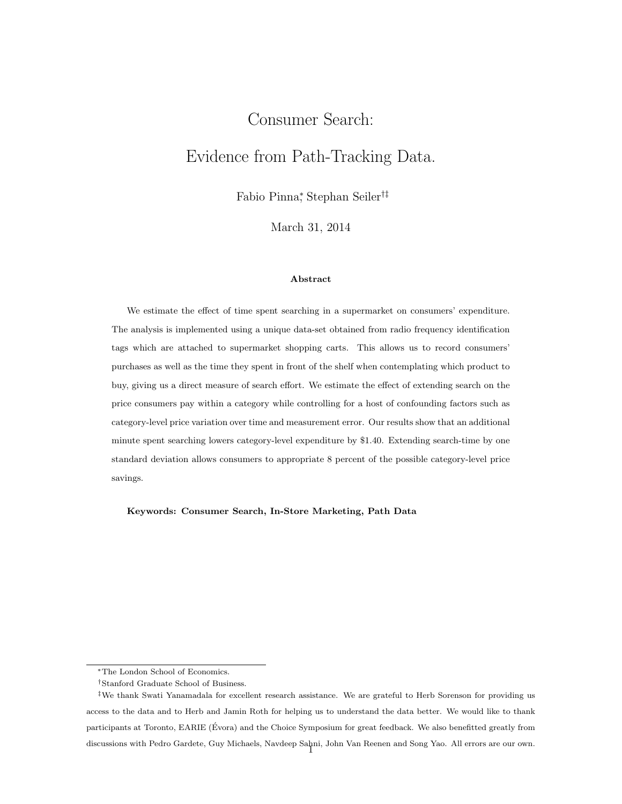# <span id="page-0-0"></span>Consumer Search: Evidence from Path-Tracking Data.

Fabio Pinna<sup>∗</sup> , Stephan Seiler†‡

March 31, 2014

#### Abstract

We estimate the effect of time spent searching in a supermarket on consumers' expenditure. The analysis is implemented using a unique data-set obtained from radio frequency identification tags which are attached to supermarket shopping carts. This allows us to record consumers' purchases as well as the time they spent in front of the shelf when contemplating which product to buy, giving us a direct measure of search effort. We estimate the effect of extending search on the price consumers pay within a category while controlling for a host of confounding factors such as category-level price variation over time and measurement error. Our results show that an additional minute spent searching lowers category-level expenditure by \$1.40. Extending search-time by one standard deviation allows consumers to appropriate 8 percent of the possible category-level price savings.

Keywords: Consumer Search, In-Store Marketing, Path Data

<sup>∗</sup>The London School of Economics.

<sup>†</sup>Stanford Graduate School of Business.

<sup>‡</sup>We thank Swati Yanamadala for excellent research assistance. We are grateful to Herb Sorenson for providing us access to the data and to Herb and Jamin Roth for helping us to understand the data better. We would like to thank participants at Toronto, EARIE (Evora) and the Choice Symposium for great feedback. We also benefitted greatly from discussions with Pedro Gardete, Guy Michaels, Navdeep Sahni, John Van Reenen and Song Yao. All errors are our own. <sup>1</sup>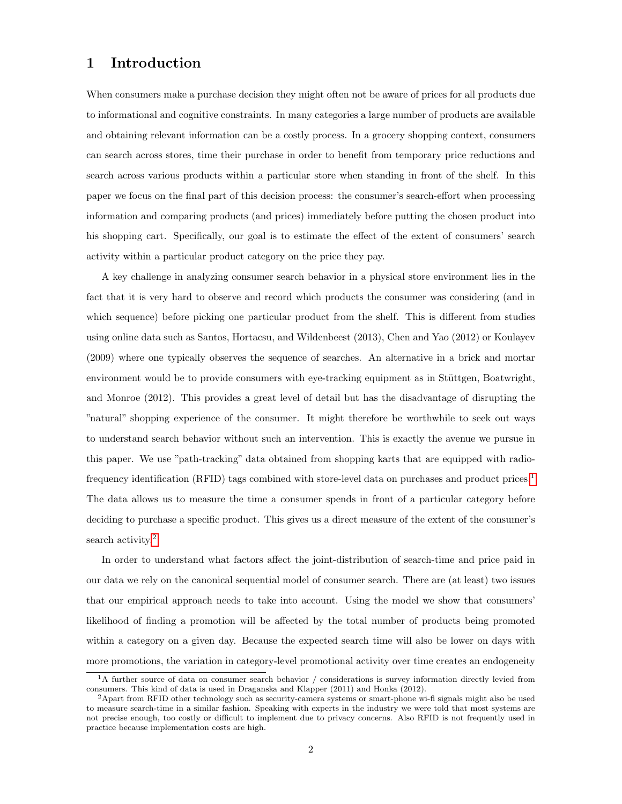## 1 Introduction

When consumers make a purchase decision they might often not be aware of prices for all products due to informational and cognitive constraints. In many categories a large number of products are available and obtaining relevant information can be a costly process. In a grocery shopping context, consumers can search across stores, time their purchase in order to benefit from temporary price reductions and search across various products within a particular store when standing in front of the shelf. In this paper we focus on the final part of this decision process: the consumer's search-effort when processing information and comparing products (and prices) immediately before putting the chosen product into his shopping cart. Specifically, our goal is to estimate the effect of the extent of consumers' search activity within a particular product category on the price they pay.

A key challenge in analyzing consumer search behavior in a physical store environment lies in the fact that it is very hard to observe and record which products the consumer was considering (and in which sequence) before picking one particular product from the shelf. This is different from studies using online data such as Santos, Hortacsu, and Wildenbeest (2013), Chen and Yao (2012) or Koulayev (2009) where one typically observes the sequence of searches. An alternative in a brick and mortar environment would be to provide consumers with eye-tracking equipment as in Stüttgen, Boatwright, and Monroe (2012). This provides a great level of detail but has the disadvantage of disrupting the "natural" shopping experience of the consumer. It might therefore be worthwhile to seek out ways to understand search behavior without such an intervention. This is exactly the avenue we pursue in this paper. We use "path-tracking" data obtained from shopping karts that are equipped with radio-frequency identification (RFID) tags combined with store-level data on purchases and product prices.<sup>[1](#page-0-0)</sup> The data allows us to measure the time a consumer spends in front of a particular category before deciding to purchase a specific product. This gives us a direct measure of the extent of the consumer's search activity.<sup>[2](#page-0-0)</sup>

In order to understand what factors affect the joint-distribution of search-time and price paid in our data we rely on the canonical sequential model of consumer search. There are (at least) two issues that our empirical approach needs to take into account. Using the model we show that consumers' likelihood of finding a promotion will be affected by the total number of products being promoted within a category on a given day. Because the expected search time will also be lower on days with more promotions, the variation in category-level promotional activity over time creates an endogeneity

<sup>&</sup>lt;sup>1</sup>A further source of data on consumer search behavior / considerations is survey information directly levied from consumers. This kind of data is used in Draganska and Klapper (2011) and Honka (2012).

 $2A$ part from RFID other technology such as security-camera systems or smart-phone wi-fi signals might also be used to measure search-time in a similar fashion. Speaking with experts in the industry we were told that most systems are not precise enough, too costly or difficult to implement due to privacy concerns. Also RFID is not frequently used in practice because implementation costs are high.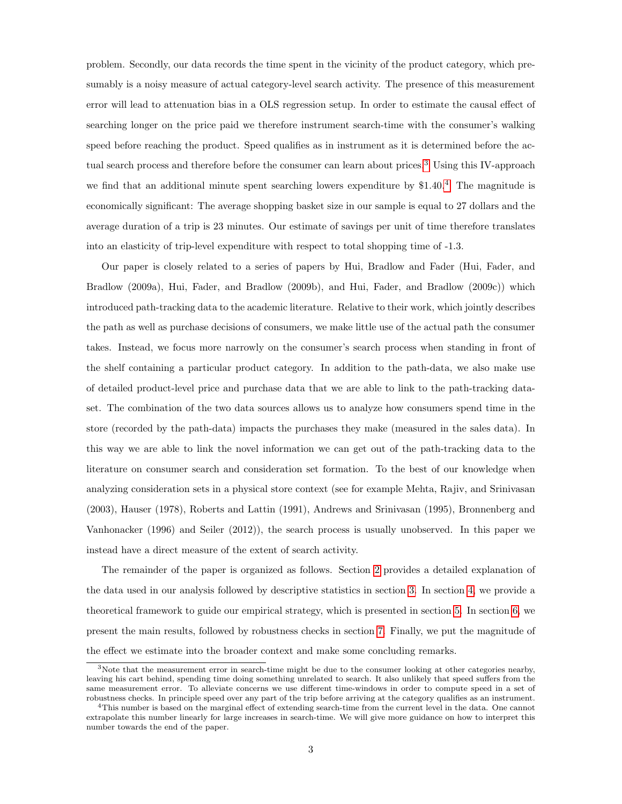problem. Secondly, our data records the time spent in the vicinity of the product category, which presumably is a noisy measure of actual category-level search activity. The presence of this measurement error will lead to attenuation bias in a OLS regression setup. In order to estimate the causal effect of searching longer on the price paid we therefore instrument search-time with the consumer's walking speed before reaching the product. Speed qualifies as in instrument as it is determined before the ac-tual search process and therefore before the consumer can learn about prices.<sup>[3](#page-0-0)</sup> Using this IV-approach we find that an additional minute spent searching lowers expenditure by \$1.[4](#page-0-0)0.<sup>4</sup> The magnitude is economically significant: The average shopping basket size in our sample is equal to 27 dollars and the average duration of a trip is 23 minutes. Our estimate of savings per unit of time therefore translates into an elasticity of trip-level expenditure with respect to total shopping time of -1.3.

Our paper is closely related to a series of papers by Hui, Bradlow and Fader (Hui, Fader, and Bradlow (2009a), Hui, Fader, and Bradlow (2009b), and Hui, Fader, and Bradlow (2009c)) which introduced path-tracking data to the academic literature. Relative to their work, which jointly describes the path as well as purchase decisions of consumers, we make little use of the actual path the consumer takes. Instead, we focus more narrowly on the consumer's search process when standing in front of the shelf containing a particular product category. In addition to the path-data, we also make use of detailed product-level price and purchase data that we are able to link to the path-tracking dataset. The combination of the two data sources allows us to analyze how consumers spend time in the store (recorded by the path-data) impacts the purchases they make (measured in the sales data). In this way we are able to link the novel information we can get out of the path-tracking data to the literature on consumer search and consideration set formation. To the best of our knowledge when analyzing consideration sets in a physical store context (see for example Mehta, Rajiv, and Srinivasan (2003), Hauser (1978), Roberts and Lattin (1991), Andrews and Srinivasan (1995), Bronnenberg and Vanhonacker (1996) and Seiler (2012)), the search process is usually unobserved. In this paper we instead have a direct measure of the extent of search activity.

The remainder of the paper is organized as follows. Section [2](#page-3-0) provides a detailed explanation of the data used in our analysis followed by descriptive statistics in section [3.](#page-4-0) In section [4,](#page-8-0) we provide a theoretical framework to guide our empirical strategy, which is presented in section [5.](#page-9-0) In section [6,](#page-14-0) we present the main results, followed by robustness checks in section [7.](#page-14-1) Finally, we put the magnitude of the effect we estimate into the broader context and make some concluding remarks.

<sup>&</sup>lt;sup>3</sup>Note that the measurement error in search-time might be due to the consumer looking at other categories nearby, leaving his cart behind, spending time doing something unrelated to search. It also unlikely that speed suffers from the same measurement error. To alleviate concerns we use different time-windows in order to compute speed in a set of robustness checks. In principle speed over any part of the trip before arriving at the category qualifies as an instrument.

<sup>4</sup>This number is based on the marginal effect of extending search-time from the current level in the data. One cannot extrapolate this number linearly for large increases in search-time. We will give more guidance on how to interpret this number towards the end of the paper.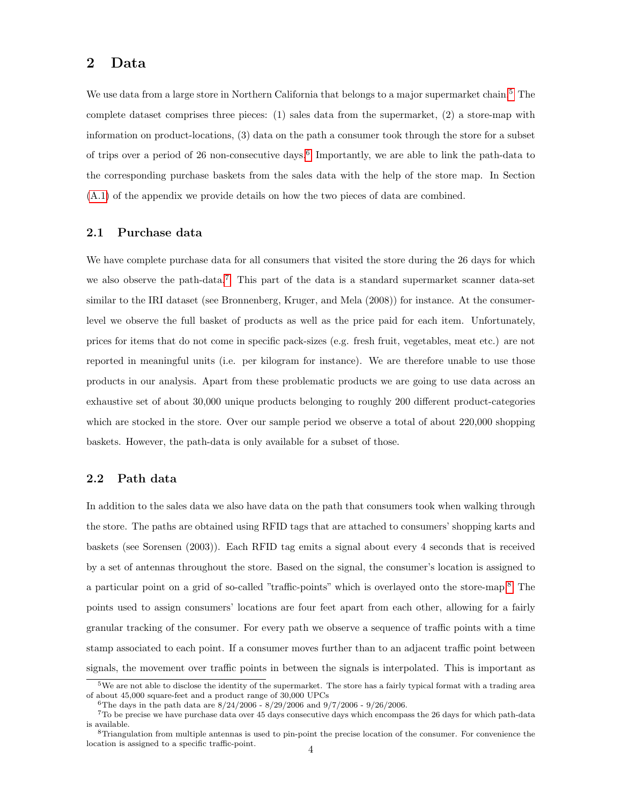## <span id="page-3-0"></span>2 Data

We use data from a large store in Northern California that belongs to a major supermarket chain.<sup>[5](#page-0-0)</sup> The complete dataset comprises three pieces: (1) sales data from the supermarket, (2) a store-map with information on product-locations, (3) data on the path a consumer took through the store for a subset of trips over a period of 2[6](#page-0-0) non-consecutive days.<sup>6</sup> Importantly, we are able to link the path-data to the corresponding purchase baskets from the sales data with the help of the store map. In Section [\(A.1\)](#page-37-0) of the appendix we provide details on how the two pieces of data are combined.

## 2.1 Purchase data

We have complete purchase data for all consumers that visited the store during the 26 days for which we also observe the path-data.<sup>[7](#page-0-0)</sup> This part of the data is a standard supermarket scanner data-set similar to the IRI dataset (see Bronnenberg, Kruger, and Mela (2008)) for instance. At the consumerlevel we observe the full basket of products as well as the price paid for each item. Unfortunately, prices for items that do not come in specific pack-sizes (e.g. fresh fruit, vegetables, meat etc.) are not reported in meaningful units (i.e. per kilogram for instance). We are therefore unable to use those products in our analysis. Apart from these problematic products we are going to use data across an exhaustive set of about 30,000 unique products belonging to roughly 200 different product-categories which are stocked in the store. Over our sample period we observe a total of about 220,000 shopping baskets. However, the path-data is only available for a subset of those.

#### 2.2 Path data

In addition to the sales data we also have data on the path that consumers took when walking through the store. The paths are obtained using RFID tags that are attached to consumers' shopping karts and baskets (see Sorensen (2003)). Each RFID tag emits a signal about every 4 seconds that is received by a set of antennas throughout the store. Based on the signal, the consumer's location is assigned to a particular point on a grid of so-called "traffic-points" which is overlayed onto the store-map.[8](#page-0-0) The points used to assign consumers' locations are four feet apart from each other, allowing for a fairly granular tracking of the consumer. For every path we observe a sequence of traffic points with a time stamp associated to each point. If a consumer moves further than to an adjacent traffic point between signals, the movement over traffic points in between the signals is interpolated. This is important as

<sup>5</sup>We are not able to disclose the identity of the supermarket. The store has a fairly typical format with a trading area of about 45,000 square-feet and a product range of 30,000 UPCs

<sup>&</sup>lt;sup>6</sup>The days in the path data are  $8/24/2006$  -  $8/29/2006$  and  $9/7/2006$  -  $9/26/2006$ .

<sup>7</sup>To be precise we have purchase data over 45 days consecutive days which encompass the 26 days for which path-data is available.

<sup>8</sup>Triangulation from multiple antennas is used to pin-point the precise location of the consumer. For convenience the location is assigned to a specific traffic-point.  $\quad \quad \ \, 4$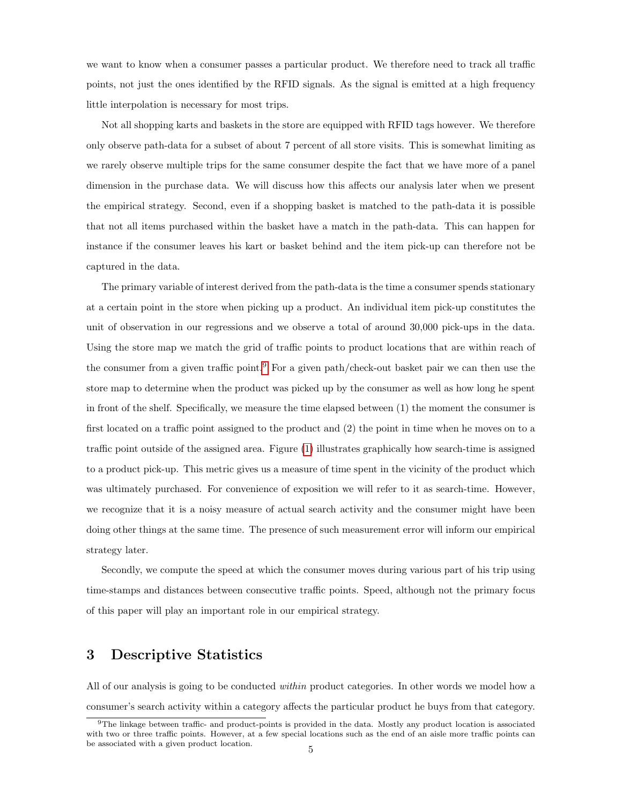we want to know when a consumer passes a particular product. We therefore need to track all traffic points, not just the ones identified by the RFID signals. As the signal is emitted at a high frequency little interpolation is necessary for most trips.

Not all shopping karts and baskets in the store are equipped with RFID tags however. We therefore only observe path-data for a subset of about 7 percent of all store visits. This is somewhat limiting as we rarely observe multiple trips for the same consumer despite the fact that we have more of a panel dimension in the purchase data. We will discuss how this affects our analysis later when we present the empirical strategy. Second, even if a shopping basket is matched to the path-data it is possible that not all items purchased within the basket have a match in the path-data. This can happen for instance if the consumer leaves his kart or basket behind and the item pick-up can therefore not be captured in the data.

The primary variable of interest derived from the path-data is the time a consumer spends stationary at a certain point in the store when picking up a product. An individual item pick-up constitutes the unit of observation in our regressions and we observe a total of around 30,000 pick-ups in the data. Using the store map we match the grid of traffic points to product locations that are within reach of the consumer from a given traffic point.<sup>[9](#page-0-0)</sup> For a given path/check-out basket pair we can then use the store map to determine when the product was picked up by the consumer as well as how long he spent in front of the shelf. Specifically, we measure the time elapsed between (1) the moment the consumer is first located on a traffic point assigned to the product and (2) the point in time when he moves on to a traffic point outside of the assigned area. Figure [\(1\)](#page-34-0) illustrates graphically how search-time is assigned to a product pick-up. This metric gives us a measure of time spent in the vicinity of the product which was ultimately purchased. For convenience of exposition we will refer to it as search-time. However, we recognize that it is a noisy measure of actual search activity and the consumer might have been doing other things at the same time. The presence of such measurement error will inform our empirical strategy later.

Secondly, we compute the speed at which the consumer moves during various part of his trip using time-stamps and distances between consecutive traffic points. Speed, although not the primary focus of this paper will play an important role in our empirical strategy.

## <span id="page-4-0"></span>3 Descriptive Statistics

All of our analysis is going to be conducted within product categories. In other words we model how a consumer's search activity within a category affects the particular product he buys from that category.

<sup>9</sup>The linkage between traffic- and product-points is provided in the data. Mostly any product location is associated with two or three traffic points. However, at a few special locations such as the end of an aisle more traffic points can be associated with a given product location.  $5$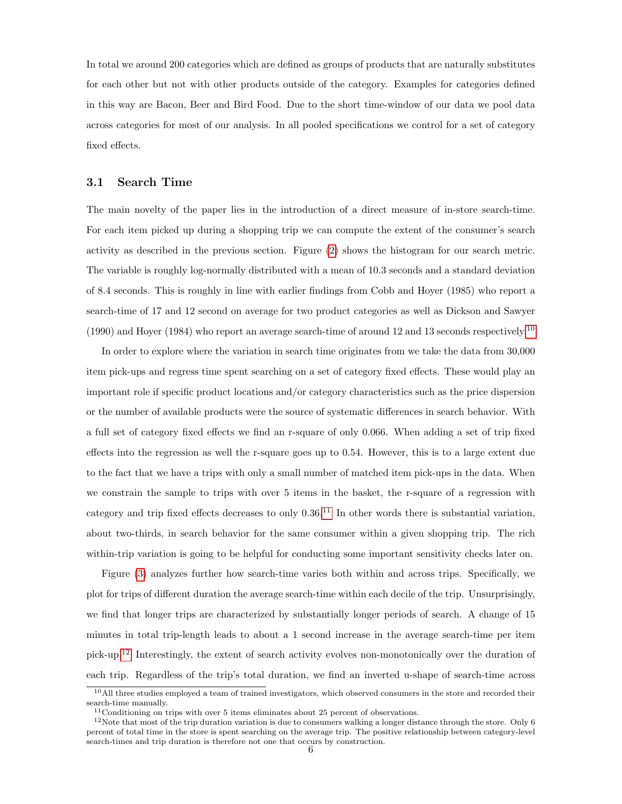In total we around 200 categories which are defined as groups of products that are naturally substitutes for each other but not with other products outside of the category. Examples for categories defined in this way are Bacon, Beer and Bird Food. Due to the short time-window of our data we pool data across categories for most of our analysis. In all pooled specifications we control for a set of category fixed effects.

#### 3.1 Search Time

The main novelty of the paper lies in the introduction of a direct measure of in-store search-time. For each item picked up during a shopping trip we can compute the extent of the consumer's search activity as described in the previous section. Figure [\(2\)](#page-35-0) shows the histogram for our search metric. The variable is roughly log-normally distributed with a mean of 10.3 seconds and a standard deviation of 8.4 seconds. This is roughly in line with earlier findings from Cobb and Hoyer (1985) who report a search-time of 17 and 12 second on average for two product categories as well as Dickson and Sawyer (1990) and Hoyer (1984) who report an average search-time of around 12 and 13 seconds respectively.<sup>[10](#page-0-0)</sup>

In order to explore where the variation in search time originates from we take the data from 30,000 item pick-ups and regress time spent searching on a set of category fixed effects. These would play an important role if specific product locations and/or category characteristics such as the price dispersion or the number of available products were the source of systematic differences in search behavior. With a full set of category fixed effects we find an r-square of only 0.066. When adding a set of trip fixed effects into the regression as well the r-square goes up to 0.54. However, this is to a large extent due to the fact that we have a trips with only a small number of matched item pick-ups in the data. When we constrain the sample to trips with over 5 items in the basket, the r-square of a regression with category and trip fixed effects decreases to only  $0.36$ .<sup>[11](#page-0-0)</sup> In other words there is substantial variation, about two-thirds, in search behavior for the same consumer within a given shopping trip. The rich within-trip variation is going to be helpful for conducting some important sensitivity checks later on.

Figure [\(3\)](#page-35-1) analyzes further how search-time varies both within and across trips. Specifically, we plot for trips of different duration the average search-time within each decile of the trip. Unsurprisingly, we find that longer trips are characterized by substantially longer periods of search. A change of 15 minutes in total trip-length leads to about a 1 second increase in the average search-time per item pick-up.[12](#page-0-0) Interestingly, the extent of search activity evolves non-monotonically over the duration of each trip. Regardless of the trip's total duration, we find an inverted u-shape of search-time across

 $10$ All three studies employed a team of trained investigators, which observed consumers in the store and recorded their search-time manually.

<sup>11</sup>Conditioning on trips with over 5 items eliminates about 25 percent of observations.

 $12$ Note that most of the trip duration variation is due to consumers walking a longer distance through the store. Only 6 percent of total time in the store is spent searching on the average trip. The positive relationship between category-level search-times and trip duration is therefore not one that occurs by construction.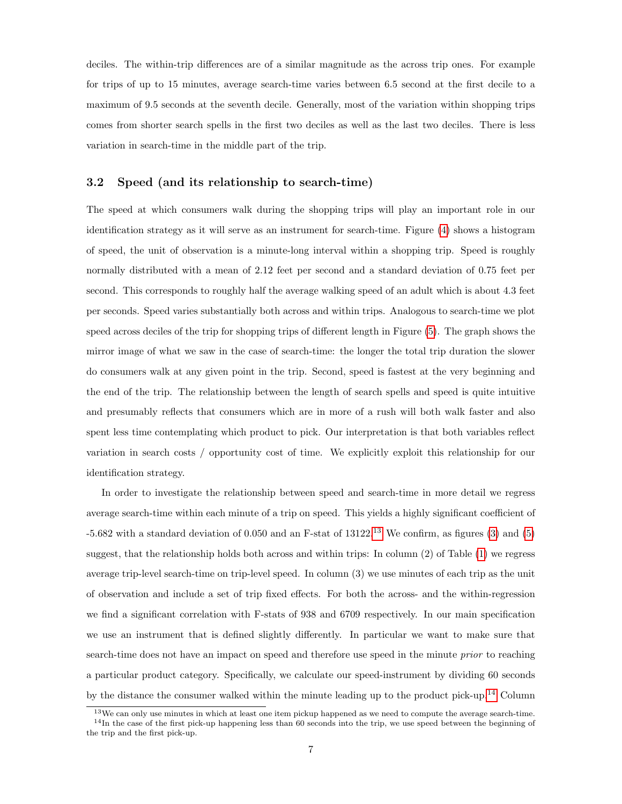deciles. The within-trip differences are of a similar magnitude as the across trip ones. For example for trips of up to 15 minutes, average search-time varies between 6.5 second at the first decile to a maximum of 9.5 seconds at the seventh decile. Generally, most of the variation within shopping trips comes from shorter search spells in the first two deciles as well as the last two deciles. There is less variation in search-time in the middle part of the trip.

#### <span id="page-6-0"></span>3.2 Speed (and its relationship to search-time)

The speed at which consumers walk during the shopping trips will play an important role in our identification strategy as it will serve as an instrument for search-time. Figure [\(4\)](#page-36-0) shows a histogram of speed, the unit of observation is a minute-long interval within a shopping trip. Speed is roughly normally distributed with a mean of 2.12 feet per second and a standard deviation of 0.75 feet per second. This corresponds to roughly half the average walking speed of an adult which is about 4.3 feet per seconds. Speed varies substantially both across and within trips. Analogous to search-time we plot speed across deciles of the trip for shopping trips of different length in Figure [\(5\)](#page-36-1). The graph shows the mirror image of what we saw in the case of search-time: the longer the total trip duration the slower do consumers walk at any given point in the trip. Second, speed is fastest at the very beginning and the end of the trip. The relationship between the length of search spells and speed is quite intuitive and presumably reflects that consumers which are in more of a rush will both walk faster and also spent less time contemplating which product to pick. Our interpretation is that both variables reflect variation in search costs / opportunity cost of time. We explicitly exploit this relationship for our identification strategy.

In order to investigate the relationship between speed and search-time in more detail we regress average search-time within each minute of a trip on speed. This yields a highly significant coefficient of  $-5.682$  with a standard deviation of 0.050 and an F-stat of [13](#page-0-0)122.<sup>13</sup> We confirm, as figures [\(3\)](#page-35-1) and [\(5\)](#page-36-1) suggest, that the relationship holds both across and within trips: In column (2) of Table [\(1\)](#page-28-0) we regress average trip-level search-time on trip-level speed. In column (3) we use minutes of each trip as the unit of observation and include a set of trip fixed effects. For both the across- and the within-regression we find a significant correlation with F-stats of 938 and 6709 respectively. In our main specification we use an instrument that is defined slightly differently. In particular we want to make sure that search-time does not have an impact on speed and therefore use speed in the minute *prior* to reaching a particular product category. Specifically, we calculate our speed-instrument by dividing 60 seconds by the distance the consumer walked within the minute leading up to the product pick-up.[14](#page-0-0) Column

<sup>&</sup>lt;sup>13</sup>We can only use minutes in which at least one item pickup happened as we need to compute the average search-time. <sup>14</sup>In the case of the first pick-up happening less than 60 seconds into the trip, we use speed between the beginning of the trip and the first pick-up.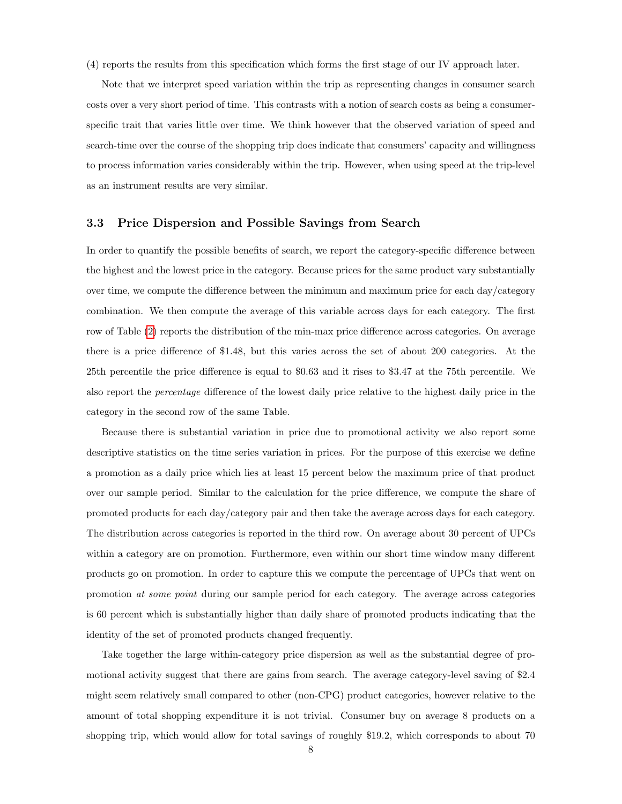(4) reports the results from this specification which forms the first stage of our IV approach later.

Note that we interpret speed variation within the trip as representing changes in consumer search costs over a very short period of time. This contrasts with a notion of search costs as being a consumerspecific trait that varies little over time. We think however that the observed variation of speed and search-time over the course of the shopping trip does indicate that consumers' capacity and willingness to process information varies considerably within the trip. However, when using speed at the trip-level as an instrument results are very similar.

## 3.3 Price Dispersion and Possible Savings from Search

In order to quantify the possible benefits of search, we report the category-specific difference between the highest and the lowest price in the category. Because prices for the same product vary substantially over time, we compute the difference between the minimum and maximum price for each day/category combination. We then compute the average of this variable across days for each category. The first row of Table [\(2\)](#page-29-0) reports the distribution of the min-max price difference across categories. On average there is a price difference of \$1.48, but this varies across the set of about 200 categories. At the 25th percentile the price difference is equal to \$0.63 and it rises to \$3.47 at the 75th percentile. We also report the percentage difference of the lowest daily price relative to the highest daily price in the category in the second row of the same Table.

Because there is substantial variation in price due to promotional activity we also report some descriptive statistics on the time series variation in prices. For the purpose of this exercise we define a promotion as a daily price which lies at least 15 percent below the maximum price of that product over our sample period. Similar to the calculation for the price difference, we compute the share of promoted products for each day/category pair and then take the average across days for each category. The distribution across categories is reported in the third row. On average about 30 percent of UPCs within a category are on promotion. Furthermore, even within our short time window many different products go on promotion. In order to capture this we compute the percentage of UPCs that went on promotion at some point during our sample period for each category. The average across categories is 60 percent which is substantially higher than daily share of promoted products indicating that the identity of the set of promoted products changed frequently.

Take together the large within-category price dispersion as well as the substantial degree of promotional activity suggest that there are gains from search. The average category-level saving of \$2.4 might seem relatively small compared to other (non-CPG) product categories, however relative to the amount of total shopping expenditure it is not trivial. Consumer buy on average 8 products on a shopping trip, which would allow for total savings of roughly \$19.2, which corresponds to about 70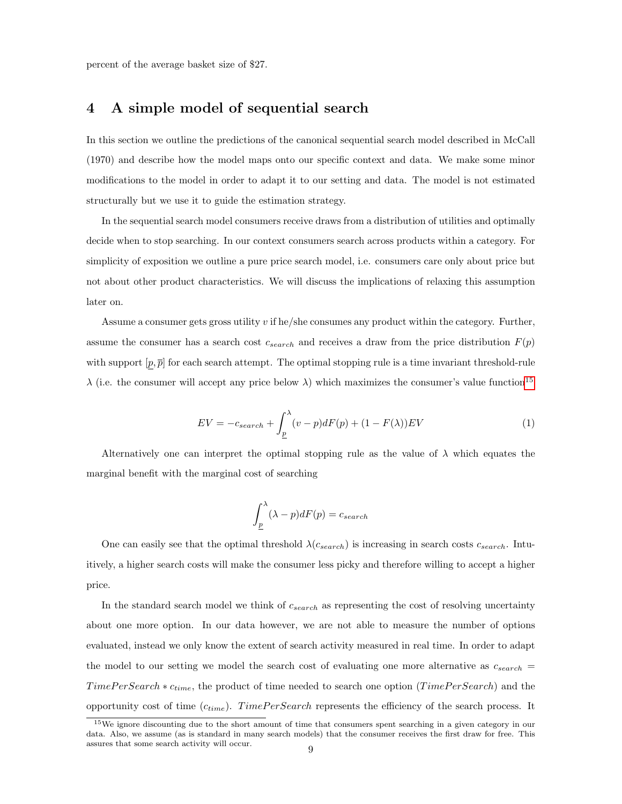percent of the average basket size of \$27.

## <span id="page-8-0"></span>4 A simple model of sequential search

In this section we outline the predictions of the canonical sequential search model described in McCall (1970) and describe how the model maps onto our specific context and data. We make some minor modifications to the model in order to adapt it to our setting and data. The model is not estimated structurally but we use it to guide the estimation strategy.

In the sequential search model consumers receive draws from a distribution of utilities and optimally decide when to stop searching. In our context consumers search across products within a category. For simplicity of exposition we outline a pure price search model, i.e. consumers care only about price but not about other product characteristics. We will discuss the implications of relaxing this assumption later on.

Assume a consumer gets gross utility v if he/she consumes any product within the category. Further, assume the consumer has a search cost  $c_{search}$  and receives a draw from the price distribution  $F(p)$ with support  $[p, \overline{p}]$  for each search attempt. The optimal stopping rule is a time invariant threshold-rule  $\lambda$  (i.e. the consumer will accept any price below  $\lambda$ ) which maximizes the consumer's value function<sup>[15](#page-0-0)</sup>

<span id="page-8-1"></span>
$$
EV = -c_{search} + \int_{\underline{p}}^{\lambda} (v - p)dF(p) + (1 - F(\lambda))EV
$$
\n(1)

Alternatively one can interpret the optimal stopping rule as the value of  $\lambda$  which equates the marginal benefit with the marginal cost of searching

$$
\int_{\underline{p}}^{\lambda} (\lambda - p) dF(p) = c_{search}
$$

One can easily see that the optimal threshold  $\lambda(c_{search})$  is increasing in search costs  $c_{search}$ . Intuitively, a higher search costs will make the consumer less picky and therefore willing to accept a higher price.

In the standard search model we think of  $c_{search}$  as representing the cost of resolving uncertainty about one more option. In our data however, we are not able to measure the number of options evaluated, instead we only know the extent of search activity measured in real time. In order to adapt the model to our setting we model the search cost of evaluating one more alternative as  $c_{search}$  $TimePerSearch * c_{time}$ , the product of time needed to search one option ( $TimePerSearch$ ) and the opportunity cost of time  $(c_{time})$ . TimePerSearch represents the efficiency of the search process. It

<sup>&</sup>lt;sup>15</sup>We ignore discounting due to the short amount of time that consumers spent searching in a given category in our data. Also, we assume (as is standard in many search models) that the consumer receives the first draw for free. This % assures that some search activity will occur.  $\qquad \qquad 9$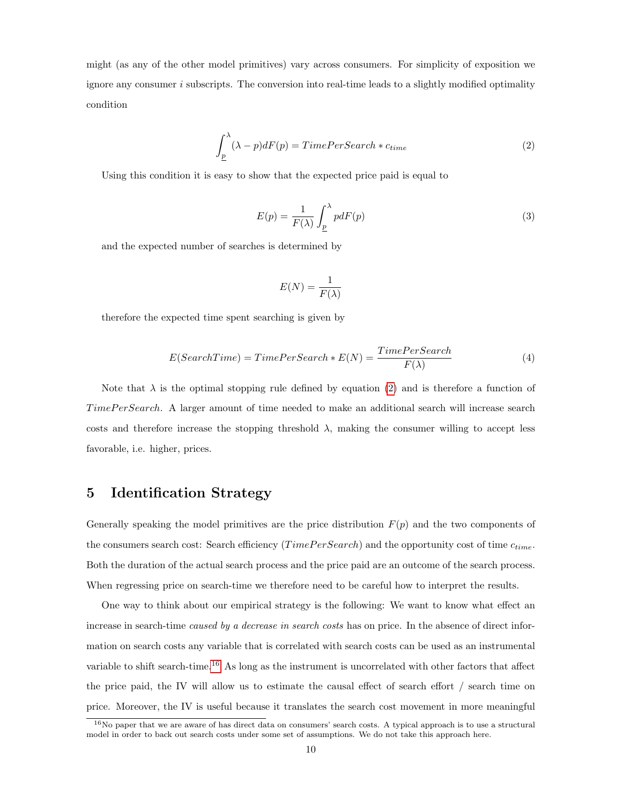might (as any of the other model primitives) vary across consumers. For simplicity of exposition we ignore any consumer  $i$  subscripts. The conversion into real-time leads to a slightly modified optimality condition

<span id="page-9-1"></span>
$$
\int_{\underline{p}}^{\lambda} (\lambda - p) dF(p) = TimePerSearch * c_{time}
$$
\n(2)

Using this condition it is easy to show that the expected price paid is equal to

$$
E(p) = \frac{1}{F(\lambda)} \int_{\underline{p}}^{\lambda} p dF(p) \tag{3}
$$

and the expected number of searches is determined by

$$
E(N)=\frac{1}{F(\lambda)}
$$

therefore the expected time spent searching is given by

<span id="page-9-2"></span>
$$
E(SearchTime) = TimePerSearch * E(N) = \frac{TimePerSearch}{F(\lambda)}
$$
\n(4)

Note that  $\lambda$  is the optimal stopping rule defined by equation [\(2\)](#page-9-1) and is therefore a function of TimePerSearch. A larger amount of time needed to make an additional search will increase search costs and therefore increase the stopping threshold  $\lambda$ , making the consumer willing to accept less favorable, i.e. higher, prices.

## <span id="page-9-0"></span>5 Identification Strategy

Generally speaking the model primitives are the price distribution  $F(p)$  and the two components of the consumers search cost: Search efficiency (*TimePerSearch*) and the opportunity cost of time  $c_{time}$ . Both the duration of the actual search process and the price paid are an outcome of the search process. When regressing price on search-time we therefore need to be careful how to interpret the results.

One way to think about our empirical strategy is the following: We want to know what effect an increase in search-time *caused by a decrease in search costs* has on price. In the absence of direct information on search costs any variable that is correlated with search costs can be used as an instrumental variable to shift search-time.[16](#page-0-0) As long as the instrument is uncorrelated with other factors that affect the price paid, the IV will allow us to estimate the causal effect of search effort / search time on price. Moreover, the IV is useful because it translates the search cost movement in more meaningful

 $16$ No paper that we are aware of has direct data on consumers' search costs. A typical approach is to use a structural model in order to back out search costs under some set of assumptions. We do not take this approach here.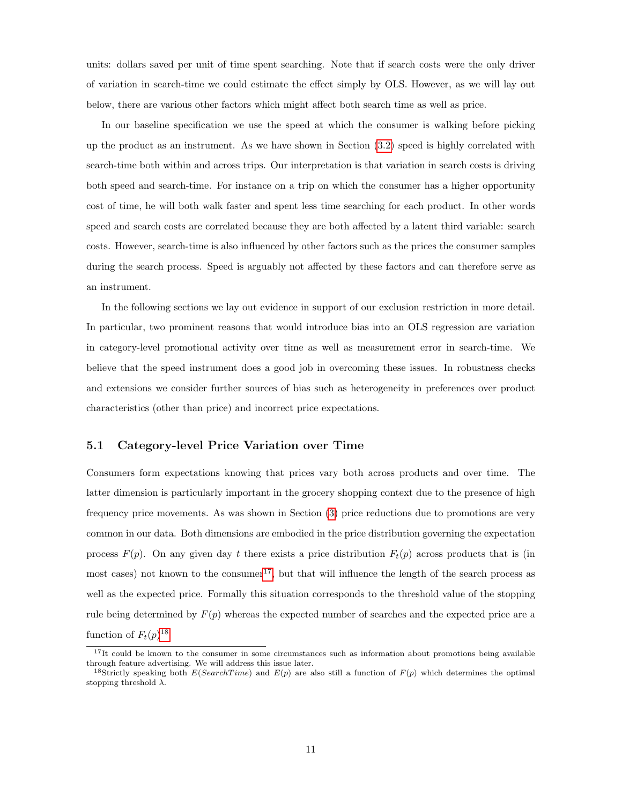units: dollars saved per unit of time spent searching. Note that if search costs were the only driver of variation in search-time we could estimate the effect simply by OLS. However, as we will lay out below, there are various other factors which might affect both search time as well as price.

In our baseline specification we use the speed at which the consumer is walking before picking up the product as an instrument. As we have shown in Section [\(3.2\)](#page-6-0) speed is highly correlated with search-time both within and across trips. Our interpretation is that variation in search costs is driving both speed and search-time. For instance on a trip on which the consumer has a higher opportunity cost of time, he will both walk faster and spent less time searching for each product. In other words speed and search costs are correlated because they are both affected by a latent third variable: search costs. However, search-time is also influenced by other factors such as the prices the consumer samples during the search process. Speed is arguably not affected by these factors and can therefore serve as an instrument.

In the following sections we lay out evidence in support of our exclusion restriction in more detail. In particular, two prominent reasons that would introduce bias into an OLS regression are variation in category-level promotional activity over time as well as measurement error in search-time. We believe that the speed instrument does a good job in overcoming these issues. In robustness checks and extensions we consider further sources of bias such as heterogeneity in preferences over product characteristics (other than price) and incorrect price expectations.

#### 5.1 Category-level Price Variation over Time

Consumers form expectations knowing that prices vary both across products and over time. The latter dimension is particularly important in the grocery shopping context due to the presence of high frequency price movements. As was shown in Section [\(3\)](#page-4-0) price reductions due to promotions are very common in our data. Both dimensions are embodied in the price distribution governing the expectation process  $F(p)$ . On any given day t there exists a price distribution  $F_t(p)$  across products that is (in most cases) not known to the consumer<sup>[17](#page-0-0)</sup>, but that will influence the length of the search process as well as the expected price. Formally this situation corresponds to the threshold value of the stopping rule being determined by  $F(p)$  whereas the expected number of searches and the expected price are a function of  $F_t(p)^{18}$  $F_t(p)^{18}$  $F_t(p)^{18}$ 

<sup>&</sup>lt;sup>17</sup>It could be known to the consumer in some circumstances such as information about promotions being available through feature advertising. We will address this issue later. <sup>18</sup>Strictly speaking both  $E(SearchTime)$  and  $E(p)$  are also still a function of  $F(p)$  which determines the optimal

stopping threshold  $\lambda$ .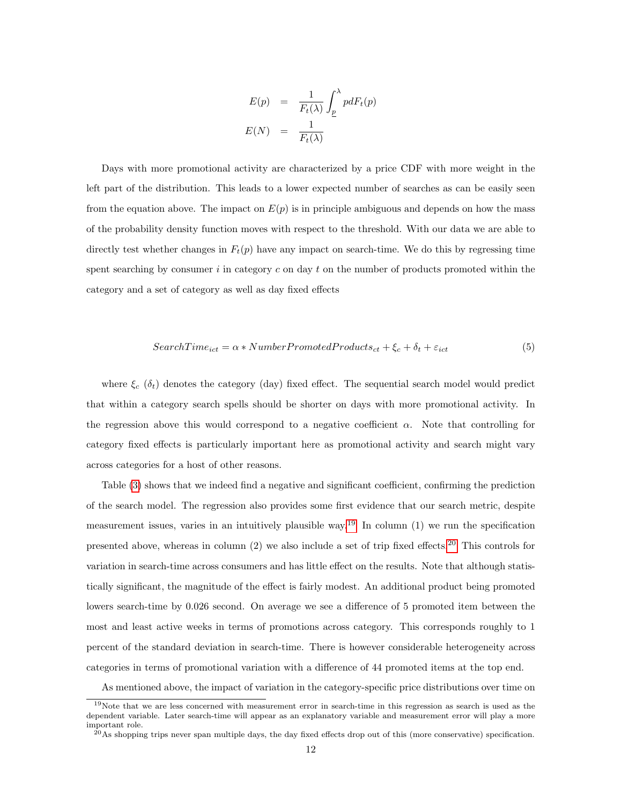$$
E(p) = \frac{1}{F_t(\lambda)} \int_{\underline{p}}^{\lambda} p dF_t(p)
$$

$$
E(N) = \frac{1}{F_t(\lambda)}
$$

Days with more promotional activity are characterized by a price CDF with more weight in the left part of the distribution. This leads to a lower expected number of searches as can be easily seen from the equation above. The impact on  $E(p)$  is in principle ambiguous and depends on how the mass of the probability density function moves with respect to the threshold. With our data we are able to directly test whether changes in  $F_t(p)$  have any impact on search-time. We do this by regressing time spent searching by consumer  $i$  in category  $c$  on day  $t$  on the number of products promoted within the category and a set of category as well as day fixed effects

$$
SearchTime_{ict} = \alpha * NumberPromotedProducts_{ct} + \xi_c + \delta_t + \varepsilon_{ict}
$$
\n
$$
(5)
$$

where  $\xi_c$  ( $\delta_t$ ) denotes the category (day) fixed effect. The sequential search model would predict that within a category search spells should be shorter on days with more promotional activity. In the regression above this would correspond to a negative coefficient  $\alpha$ . Note that controlling for category fixed effects is particularly important here as promotional activity and search might vary across categories for a host of other reasons.

Table [\(3\)](#page-30-0) shows that we indeed find a negative and significant coefficient, confirming the prediction of the search model. The regression also provides some first evidence that our search metric, despite measurement issues, varies in an intuitively plausible way.<sup>[19](#page-0-0)</sup> In column  $(1)$  we run the specification presented above, whereas in column  $(2)$  we also include a set of trip fixed effects.<sup>[20](#page-0-0)</sup> This controls for variation in search-time across consumers and has little effect on the results. Note that although statistically significant, the magnitude of the effect is fairly modest. An additional product being promoted lowers search-time by 0.026 second. On average we see a difference of 5 promoted item between the most and least active weeks in terms of promotions across category. This corresponds roughly to 1 percent of the standard deviation in search-time. There is however considerable heterogeneity across categories in terms of promotional variation with a difference of 44 promoted items at the top end.

As mentioned above, the impact of variation in the category-specific price distributions over time on

<sup>19</sup>Note that we are less concerned with measurement error in search-time in this regression as search is used as the dependent variable. Later search-time will appear as an explanatory variable and measurement error will play a more important role.

 $^{20}$ As shopping trips never span multiple days, the day fixed effects drop out of this (more conservative) specification.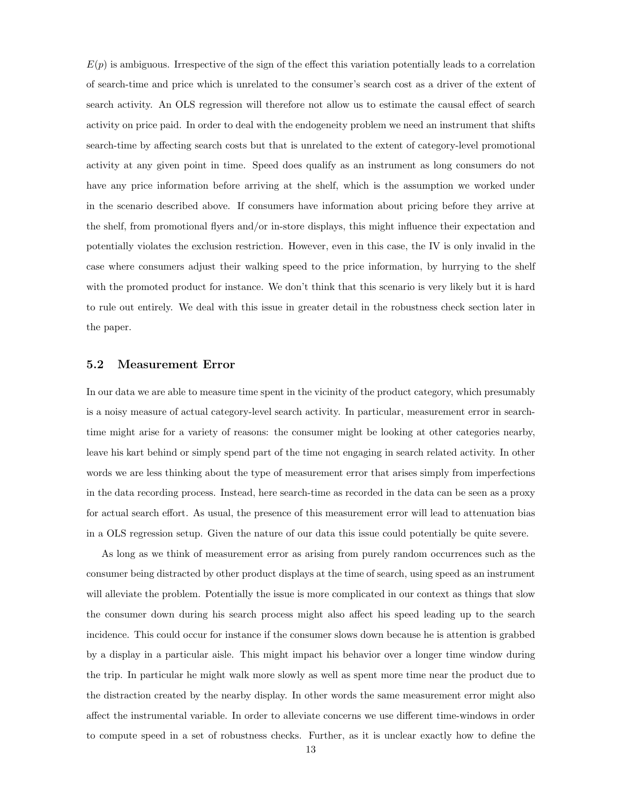$E(p)$  is ambiguous. Irrespective of the sign of the effect this variation potentially leads to a correlation of search-time and price which is unrelated to the consumer's search cost as a driver of the extent of search activity. An OLS regression will therefore not allow us to estimate the causal effect of search activity on price paid. In order to deal with the endogeneity problem we need an instrument that shifts search-time by affecting search costs but that is unrelated to the extent of category-level promotional activity at any given point in time. Speed does qualify as an instrument as long consumers do not have any price information before arriving at the shelf, which is the assumption we worked under in the scenario described above. If consumers have information about pricing before they arrive at the shelf, from promotional flyers and/or in-store displays, this might influence their expectation and potentially violates the exclusion restriction. However, even in this case, the IV is only invalid in the case where consumers adjust their walking speed to the price information, by hurrying to the shelf with the promoted product for instance. We don't think that this scenario is very likely but it is hard to rule out entirely. We deal with this issue in greater detail in the robustness check section later in the paper.

#### 5.2 Measurement Error

In our data we are able to measure time spent in the vicinity of the product category, which presumably is a noisy measure of actual category-level search activity. In particular, measurement error in searchtime might arise for a variety of reasons: the consumer might be looking at other categories nearby, leave his kart behind or simply spend part of the time not engaging in search related activity. In other words we are less thinking about the type of measurement error that arises simply from imperfections in the data recording process. Instead, here search-time as recorded in the data can be seen as a proxy for actual search effort. As usual, the presence of this measurement error will lead to attenuation bias in a OLS regression setup. Given the nature of our data this issue could potentially be quite severe.

As long as we think of measurement error as arising from purely random occurrences such as the consumer being distracted by other product displays at the time of search, using speed as an instrument will alleviate the problem. Potentially the issue is more complicated in our context as things that slow the consumer down during his search process might also affect his speed leading up to the search incidence. This could occur for instance if the consumer slows down because he is attention is grabbed by a display in a particular aisle. This might impact his behavior over a longer time window during the trip. In particular he might walk more slowly as well as spent more time near the product due to the distraction created by the nearby display. In other words the same measurement error might also affect the instrumental variable. In order to alleviate concerns we use different time-windows in order to compute speed in a set of robustness checks. Further, as it is unclear exactly how to define the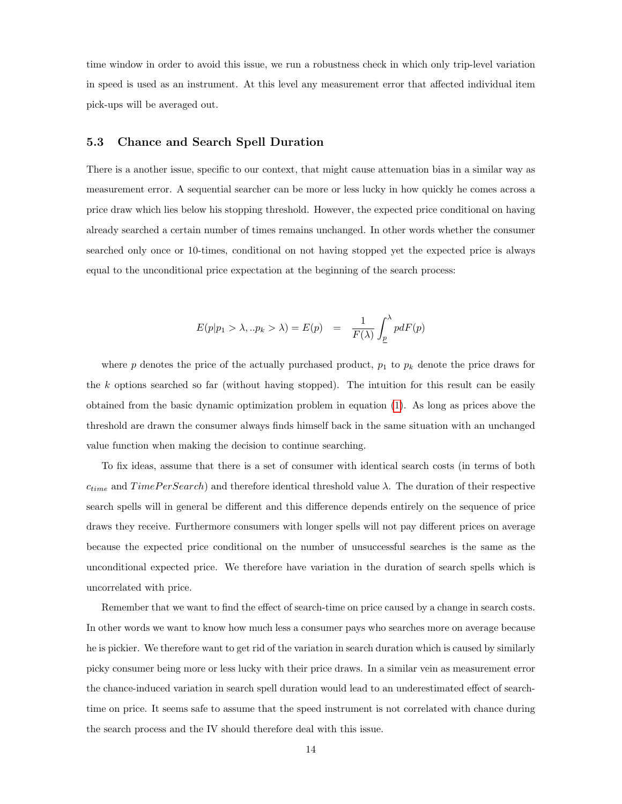time window in order to avoid this issue, we run a robustness check in which only trip-level variation in speed is used as an instrument. At this level any measurement error that affected individual item pick-ups will be averaged out.

#### 5.3 Chance and Search Spell Duration

There is a another issue, specific to our context, that might cause attenuation bias in a similar way as measurement error. A sequential searcher can be more or less lucky in how quickly he comes across a price draw which lies below his stopping threshold. However, the expected price conditional on having already searched a certain number of times remains unchanged. In other words whether the consumer searched only once or 10-times, conditional on not having stopped yet the expected price is always equal to the unconditional price expectation at the beginning of the search process:

$$
E(p|p_1 > \lambda, .. p_k > \lambda) = E(p) = \frac{1}{F(\lambda)} \int_p^{\lambda} p dF(p)
$$

where  $p$  denotes the price of the actually purchased product,  $p_1$  to  $p_k$  denote the price draws for the k options searched so far (without having stopped). The intuition for this result can be easily obtained from the basic dynamic optimization problem in equation [\(1\)](#page-8-1). As long as prices above the threshold are drawn the consumer always finds himself back in the same situation with an unchanged value function when making the decision to continue searching.

To fix ideas, assume that there is a set of consumer with identical search costs (in terms of both  $c_{time}$  and  $TimePerSearch$ ) and therefore identical threshold value  $\lambda$ . The duration of their respective search spells will in general be different and this difference depends entirely on the sequence of price draws they receive. Furthermore consumers with longer spells will not pay different prices on average because the expected price conditional on the number of unsuccessful searches is the same as the unconditional expected price. We therefore have variation in the duration of search spells which is uncorrelated with price.

Remember that we want to find the effect of search-time on price caused by a change in search costs. In other words we want to know how much less a consumer pays who searches more on average because he is pickier. We therefore want to get rid of the variation in search duration which is caused by similarly picky consumer being more or less lucky with their price draws. In a similar vein as measurement error the chance-induced variation in search spell duration would lead to an underestimated effect of searchtime on price. It seems safe to assume that the speed instrument is not correlated with chance during the search process and the IV should therefore deal with this issue.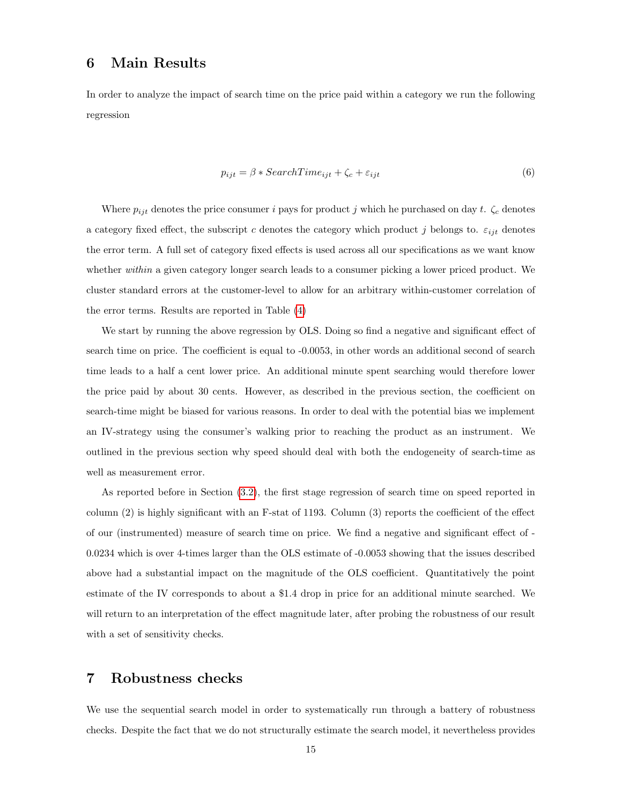## <span id="page-14-0"></span>6 Main Results

In order to analyze the impact of search time on the price paid within a category we run the following regression

$$
p_{ijt} = \beta * SearchTime_{ijt} + \zeta_c + \varepsilon_{ijt}
$$
\n
$$
\tag{6}
$$

Where  $p_{ijt}$  denotes the price consumer i pays for product j which he purchased on day t.  $\zeta_c$  denotes a category fixed effect, the subscript c denotes the category which product j belongs to.  $\varepsilon_{ijt}$  denotes the error term. A full set of category fixed effects is used across all our specifications as we want know whether *within* a given category longer search leads to a consumer picking a lower priced product. We cluster standard errors at the customer-level to allow for an arbitrary within-customer correlation of the error terms. Results are reported in Table [\(4\)](#page-31-0)

We start by running the above regression by OLS. Doing so find a negative and significant effect of search time on price. The coefficient is equal to -0.0053, in other words an additional second of search time leads to a half a cent lower price. An additional minute spent searching would therefore lower the price paid by about 30 cents. However, as described in the previous section, the coefficient on search-time might be biased for various reasons. In order to deal with the potential bias we implement an IV-strategy using the consumer's walking prior to reaching the product as an instrument. We outlined in the previous section why speed should deal with both the endogeneity of search-time as well as measurement error.

As reported before in Section [\(3.2\)](#page-6-0), the first stage regression of search time on speed reported in column (2) is highly significant with an F-stat of 1193. Column (3) reports the coefficient of the effect of our (instrumented) measure of search time on price. We find a negative and significant effect of - 0.0234 which is over 4-times larger than the OLS estimate of -0.0053 showing that the issues described above had a substantial impact on the magnitude of the OLS coefficient. Quantitatively the point estimate of the IV corresponds to about a \$1.4 drop in price for an additional minute searched. We will return to an interpretation of the effect magnitude later, after probing the robustness of our result with a set of sensitivity checks.

## <span id="page-14-1"></span>7 Robustness checks

We use the sequential search model in order to systematically run through a battery of robustness checks. Despite the fact that we do not structurally estimate the search model, it nevertheless provides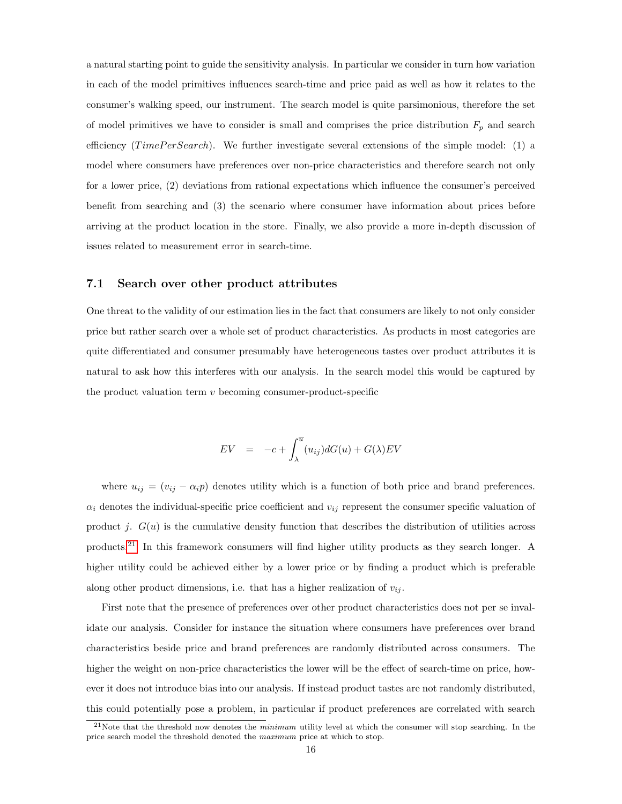a natural starting point to guide the sensitivity analysis. In particular we consider in turn how variation in each of the model primitives influences search-time and price paid as well as how it relates to the consumer's walking speed, our instrument. The search model is quite parsimonious, therefore the set of model primitives we have to consider is small and comprises the price distribution  $F_p$  and search efficiency ( $TimePerSearch$ ). We further investigate several extensions of the simple model: (1) a model where consumers have preferences over non-price characteristics and therefore search not only for a lower price, (2) deviations from rational expectations which influence the consumer's perceived benefit from searching and (3) the scenario where consumer have information about prices before arriving at the product location in the store. Finally, we also provide a more in-depth discussion of issues related to measurement error in search-time.

#### 7.1 Search over other product attributes

One threat to the validity of our estimation lies in the fact that consumers are likely to not only consider price but rather search over a whole set of product characteristics. As products in most categories are quite differentiated and consumer presumably have heterogeneous tastes over product attributes it is natural to ask how this interferes with our analysis. In the search model this would be captured by the product valuation term  $v$  becoming consumer-product-specific

$$
EV = -c + \int_{\lambda}^{\overline{u}} (u_{ij}) dG(u) + G(\lambda) EV
$$

where  $u_{ij} = (v_{ij} - \alpha_i p)$  denotes utility which is a function of both price and brand preferences.  $\alpha_i$  denotes the individual-specific price coefficient and  $v_{ij}$  represent the consumer specific valuation of product j.  $G(u)$  is the cumulative density function that describes the distribution of utilities across products.[21](#page-0-0) In this framework consumers will find higher utility products as they search longer. A higher utility could be achieved either by a lower price or by finding a product which is preferable along other product dimensions, i.e. that has a higher realization of  $v_{ij}$ .

First note that the presence of preferences over other product characteristics does not per se invalidate our analysis. Consider for instance the situation where consumers have preferences over brand characteristics beside price and brand preferences are randomly distributed across consumers. The higher the weight on non-price characteristics the lower will be the effect of search-time on price, however it does not introduce bias into our analysis. If instead product tastes are not randomly distributed, this could potentially pose a problem, in particular if product preferences are correlated with search

 $21$ Note that the threshold now denotes the *minimum* utility level at which the consumer will stop searching. In the price search model the threshold denoted the maximum price at which to stop.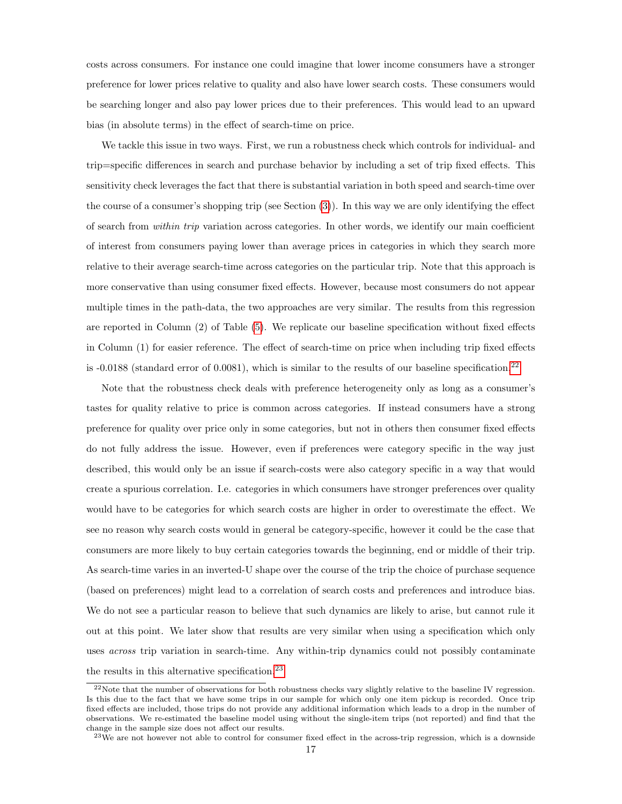costs across consumers. For instance one could imagine that lower income consumers have a stronger preference for lower prices relative to quality and also have lower search costs. These consumers would be searching longer and also pay lower prices due to their preferences. This would lead to an upward bias (in absolute terms) in the effect of search-time on price.

We tackle this issue in two ways. First, we run a robustness check which controls for individual- and trip=specific differences in search and purchase behavior by including a set of trip fixed effects. This sensitivity check leverages the fact that there is substantial variation in both speed and search-time over the course of a consumer's shopping trip (see Section [\(3\)](#page-4-0)). In this way we are only identifying the effect of search from within trip variation across categories. In other words, we identify our main coefficient of interest from consumers paying lower than average prices in categories in which they search more relative to their average search-time across categories on the particular trip. Note that this approach is more conservative than using consumer fixed effects. However, because most consumers do not appear multiple times in the path-data, the two approaches are very similar. The results from this regression are reported in Column (2) of Table [\(5\)](#page-32-0). We replicate our baseline specification without fixed effects in Column (1) for easier reference. The effect of search-time on price when including trip fixed effects is -0.0188 (standard error of 0.0081), which is similar to the results of our baseline specification.<sup>[22](#page-0-0)</sup>

Note that the robustness check deals with preference heterogeneity only as long as a consumer's tastes for quality relative to price is common across categories. If instead consumers have a strong preference for quality over price only in some categories, but not in others then consumer fixed effects do not fully address the issue. However, even if preferences were category specific in the way just described, this would only be an issue if search-costs were also category specific in a way that would create a spurious correlation. I.e. categories in which consumers have stronger preferences over quality would have to be categories for which search costs are higher in order to overestimate the effect. We see no reason why search costs would in general be category-specific, however it could be the case that consumers are more likely to buy certain categories towards the beginning, end or middle of their trip. As search-time varies in an inverted-U shape over the course of the trip the choice of purchase sequence (based on preferences) might lead to a correlation of search costs and preferences and introduce bias. We do not see a particular reason to believe that such dynamics are likely to arise, but cannot rule it out at this point. We later show that results are very similar when using a specification which only uses across trip variation in search-time. Any within-trip dynamics could not possibly contaminate the results in this alternative specification.<sup>[23](#page-0-0)</sup>

<sup>&</sup>lt;sup>22</sup>Note that the number of observations for both robustness checks vary slightly relative to the baseline IV regression. Is this due to the fact that we have some trips in our sample for which only one item pickup is recorded. Once trip fixed effects are included, those trips do not provide any additional information which leads to a drop in the number of observations. We re-estimated the baseline model using without the single-item trips (not reported) and find that the change in the sample size does not affect our results.

<sup>&</sup>lt;sup>23</sup>We are not however not able to control for consumer fixed effect in the across-trip regression, which is a downside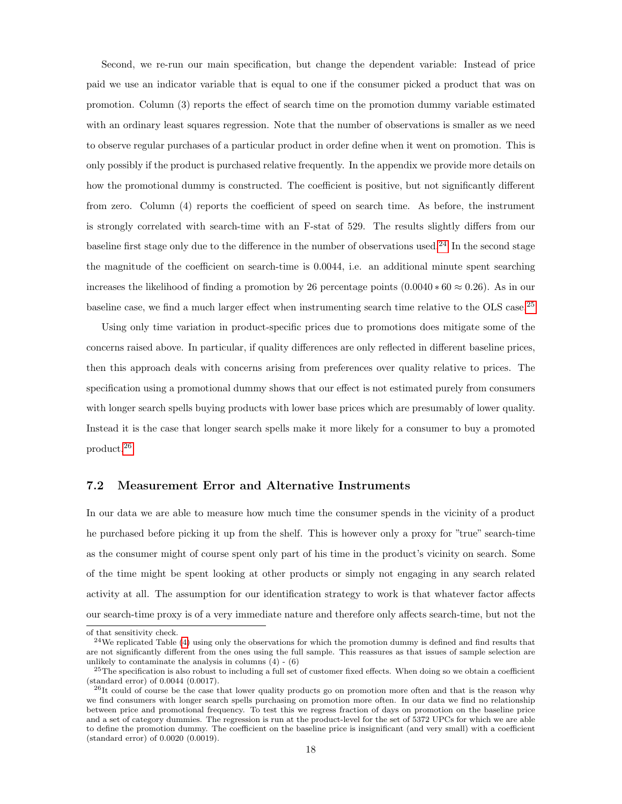Second, we re-run our main specification, but change the dependent variable: Instead of price paid we use an indicator variable that is equal to one if the consumer picked a product that was on promotion. Column (3) reports the effect of search time on the promotion dummy variable estimated with an ordinary least squares regression. Note that the number of observations is smaller as we need to observe regular purchases of a particular product in order define when it went on promotion. This is only possibly if the product is purchased relative frequently. In the appendix we provide more details on how the promotional dummy is constructed. The coefficient is positive, but not significantly different from zero. Column (4) reports the coefficient of speed on search time. As before, the instrument is strongly correlated with search-time with an F-stat of 529. The results slightly differs from our baseline first stage only due to the difference in the number of observations used.<sup>[24](#page-0-0)</sup> In the second stage the magnitude of the coefficient on search-time is 0.0044, i.e. an additional minute spent searching increases the likelihood of finding a promotion by 26 percentage points  $(0.0040 * 60 \approx 0.26)$ . As in our baseline case, we find a much larger effect when instrumenting search time relative to the OLS case.[25](#page-0-0)

Using only time variation in product-specific prices due to promotions does mitigate some of the concerns raised above. In particular, if quality differences are only reflected in different baseline prices, then this approach deals with concerns arising from preferences over quality relative to prices. The specification using a promotional dummy shows that our effect is not estimated purely from consumers with longer search spells buying products with lower base prices which are presumably of lower quality. Instead it is the case that longer search spells make it more likely for a consumer to buy a promoted product.[26](#page-0-0)

## 7.2 Measurement Error and Alternative Instruments

In our data we are able to measure how much time the consumer spends in the vicinity of a product he purchased before picking it up from the shelf. This is however only a proxy for "true" search-time as the consumer might of course spent only part of his time in the product's vicinity on search. Some of the time might be spent looking at other products or simply not engaging in any search related activity at all. The assumption for our identification strategy to work is that whatever factor affects our search-time proxy is of a very immediate nature and therefore only affects search-time, but not the

of that sensitivity check.

 $24$ We replicated Table [\(4\)](#page-31-0) using only the observations for which the promotion dummy is defined and find results that are not significantly different from the ones using the full sample. This reassures as that issues of sample selection are unlikely to contaminate the analysis in columns  $(4) - (6)$ 

 $25$ The specification is also robust to including a full set of customer fixed effects. When doing so we obtain a coefficient (standard error) of 0.0044 (0.0017).

<sup>&</sup>lt;sup>26</sup>It could of course be the case that lower quality products go on promotion more often and that is the reason why we find consumers with longer search spells purchasing on promotion more often. In our data we find no relationship between price and promotional frequency. To test this we regress fraction of days on promotion on the baseline price and a set of category dummies. The regression is run at the product-level for the set of 5372 UPCs for which we are able to define the promotion dummy. The coefficient on the baseline price is insignificant (and very small) with a coefficient (standard error) of 0.0020 (0.0019).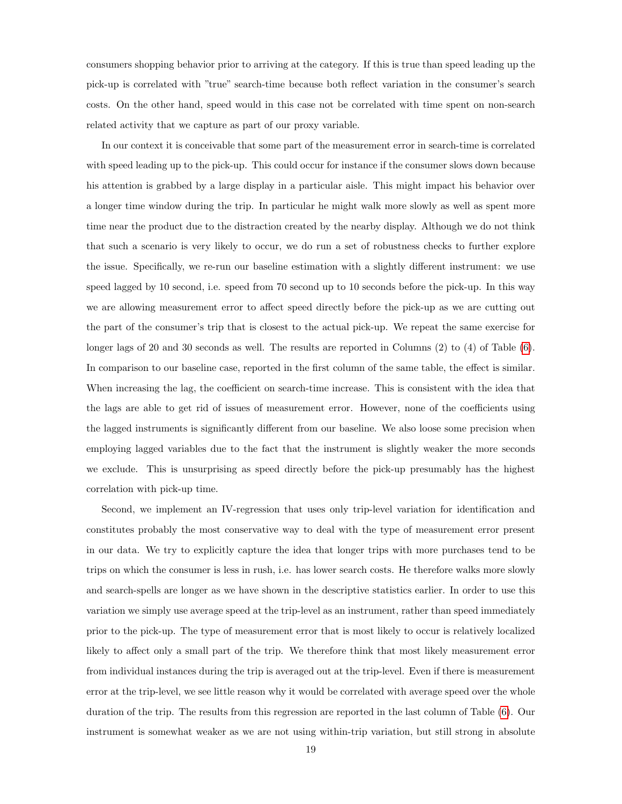consumers shopping behavior prior to arriving at the category. If this is true than speed leading up the pick-up is correlated with "true" search-time because both reflect variation in the consumer's search costs. On the other hand, speed would in this case not be correlated with time spent on non-search related activity that we capture as part of our proxy variable.

In our context it is conceivable that some part of the measurement error in search-time is correlated with speed leading up to the pick-up. This could occur for instance if the consumer slows down because his attention is grabbed by a large display in a particular aisle. This might impact his behavior over a longer time window during the trip. In particular he might walk more slowly as well as spent more time near the product due to the distraction created by the nearby display. Although we do not think that such a scenario is very likely to occur, we do run a set of robustness checks to further explore the issue. Specifically, we re-run our baseline estimation with a slightly different instrument: we use speed lagged by 10 second, i.e. speed from 70 second up to 10 seconds before the pick-up. In this way we are allowing measurement error to affect speed directly before the pick-up as we are cutting out the part of the consumer's trip that is closest to the actual pick-up. We repeat the same exercise for longer lags of 20 and 30 seconds as well. The results are reported in Columns (2) to (4) of Table [\(6\)](#page-33-0). In comparison to our baseline case, reported in the first column of the same table, the effect is similar. When increasing the lag, the coefficient on search-time increase. This is consistent with the idea that the lags are able to get rid of issues of measurement error. However, none of the coefficients using the lagged instruments is significantly different from our baseline. We also loose some precision when employing lagged variables due to the fact that the instrument is slightly weaker the more seconds we exclude. This is unsurprising as speed directly before the pick-up presumably has the highest correlation with pick-up time.

Second, we implement an IV-regression that uses only trip-level variation for identification and constitutes probably the most conservative way to deal with the type of measurement error present in our data. We try to explicitly capture the idea that longer trips with more purchases tend to be trips on which the consumer is less in rush, i.e. has lower search costs. He therefore walks more slowly and search-spells are longer as we have shown in the descriptive statistics earlier. In order to use this variation we simply use average speed at the trip-level as an instrument, rather than speed immediately prior to the pick-up. The type of measurement error that is most likely to occur is relatively localized likely to affect only a small part of the trip. We therefore think that most likely measurement error from individual instances during the trip is averaged out at the trip-level. Even if there is measurement error at the trip-level, we see little reason why it would be correlated with average speed over the whole duration of the trip. The results from this regression are reported in the last column of Table [\(6\)](#page-33-0). Our instrument is somewhat weaker as we are not using within-trip variation, but still strong in absolute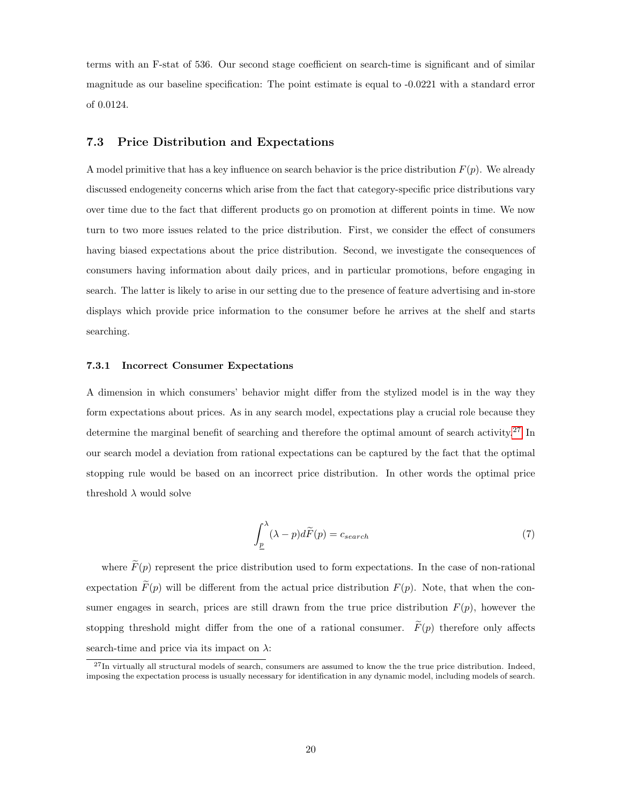terms with an F-stat of 536. Our second stage coefficient on search-time is significant and of similar magnitude as our baseline specification: The point estimate is equal to -0.0221 with a standard error of 0.0124.

## 7.3 Price Distribution and Expectations

A model primitive that has a key influence on search behavior is the price distribution  $F(p)$ . We already discussed endogeneity concerns which arise from the fact that category-specific price distributions vary over time due to the fact that different products go on promotion at different points in time. We now turn to two more issues related to the price distribution. First, we consider the effect of consumers having biased expectations about the price distribution. Second, we investigate the consequences of consumers having information about daily prices, and in particular promotions, before engaging in search. The latter is likely to arise in our setting due to the presence of feature advertising and in-store displays which provide price information to the consumer before he arrives at the shelf and starts searching.

#### 7.3.1 Incorrect Consumer Expectations

A dimension in which consumers' behavior might differ from the stylized model is in the way they form expectations about prices. As in any search model, expectations play a crucial role because they determine the marginal benefit of searching and therefore the optimal amount of search activity.<sup>[27](#page-0-0)</sup> In our search model a deviation from rational expectations can be captured by the fact that the optimal stopping rule would be based on an incorrect price distribution. In other words the optimal price threshold  $\lambda$  would solve

$$
\int_{\underline{p}}^{\lambda} (\lambda - p) d\widetilde{F}(p) = c_{search} \tag{7}
$$

where  $\widetilde{F}(p)$  represent the price distribution used to form expectations. In the case of non-rational expectation  $\tilde{F}(p)$  will be different from the actual price distribution  $F(p)$ . Note, that when the consumer engages in search, prices are still drawn from the true price distribution  $F(p)$ , however the stopping threshold might differ from the one of a rational consumer.  $\widetilde{F}(p)$  therefore only affects search-time and price via its impact on  $\lambda$ :

 $^{27}$ In virtually all structural models of search, consumers are assumed to know the the true price distribution. Indeed, imposing the expectation process is usually necessary for identification in any dynamic model, including models of search.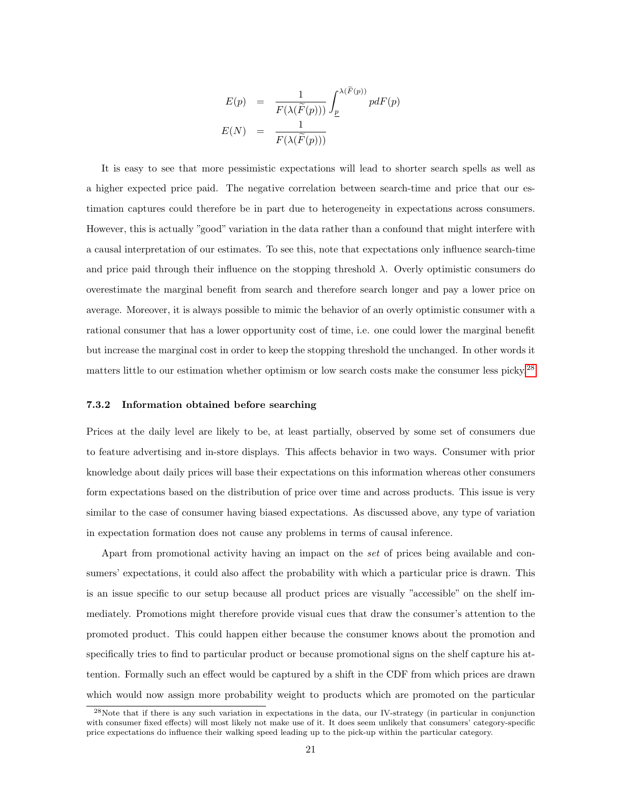$$
E(p) = \frac{1}{F(\lambda(\widetilde{F}(p)))} \int_{\underline{p}}^{\lambda(\widetilde{F}(p))} p dF(p)
$$

$$
E(N) = \frac{1}{F(\lambda(\widetilde{F}(p)))}
$$

It is easy to see that more pessimistic expectations will lead to shorter search spells as well as a higher expected price paid. The negative correlation between search-time and price that our estimation captures could therefore be in part due to heterogeneity in expectations across consumers. However, this is actually "good" variation in the data rather than a confound that might interfere with a causal interpretation of our estimates. To see this, note that expectations only influence search-time and price paid through their influence on the stopping threshold  $\lambda$ . Overly optimistic consumers do overestimate the marginal benefit from search and therefore search longer and pay a lower price on average. Moreover, it is always possible to mimic the behavior of an overly optimistic consumer with a rational consumer that has a lower opportunity cost of time, i.e. one could lower the marginal benefit but increase the marginal cost in order to keep the stopping threshold the unchanged. In other words it matters little to our estimation whether optimism or low search costs make the consumer less picky.<sup>[28](#page-0-0)</sup>

#### 7.3.2 Information obtained before searching

Prices at the daily level are likely to be, at least partially, observed by some set of consumers due to feature advertising and in-store displays. This affects behavior in two ways. Consumer with prior knowledge about daily prices will base their expectations on this information whereas other consumers form expectations based on the distribution of price over time and across products. This issue is very similar to the case of consumer having biased expectations. As discussed above, any type of variation in expectation formation does not cause any problems in terms of causal inference.

Apart from promotional activity having an impact on the set of prices being available and consumers' expectations, it could also affect the probability with which a particular price is drawn. This is an issue specific to our setup because all product prices are visually "accessible" on the shelf immediately. Promotions might therefore provide visual cues that draw the consumer's attention to the promoted product. This could happen either because the consumer knows about the promotion and specifically tries to find to particular product or because promotional signs on the shelf capture his attention. Formally such an effect would be captured by a shift in the CDF from which prices are drawn which would now assign more probability weight to products which are promoted on the particular

<sup>28</sup>Note that if there is any such variation in expectations in the data, our IV-strategy (in particular in conjunction with consumer fixed effects) will most likely not make use of it. It does seem unlikely that consumers' category-specific price expectations do influence their walking speed leading up to the pick-up within the particular category.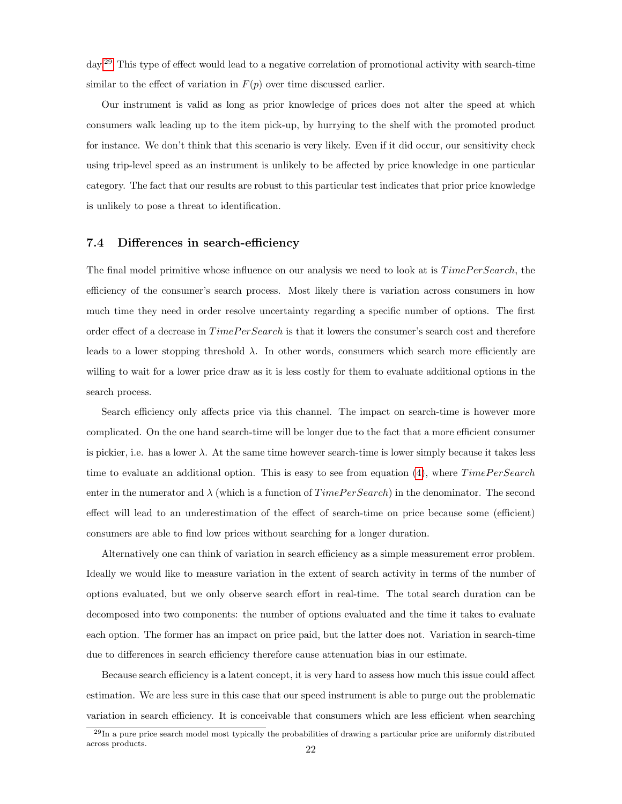day.[29](#page-0-0) This type of effect would lead to a negative correlation of promotional activity with search-time similar to the effect of variation in  $F(p)$  over time discussed earlier.

Our instrument is valid as long as prior knowledge of prices does not alter the speed at which consumers walk leading up to the item pick-up, by hurrying to the shelf with the promoted product for instance. We don't think that this scenario is very likely. Even if it did occur, our sensitivity check using trip-level speed as an instrument is unlikely to be affected by price knowledge in one particular category. The fact that our results are robust to this particular test indicates that prior price knowledge is unlikely to pose a threat to identification.

## 7.4 Differences in search-efficiency

The final model primitive whose influence on our analysis we need to look at is  $TimePer Search$ , the efficiency of the consumer's search process. Most likely there is variation across consumers in how much time they need in order resolve uncertainty regarding a specific number of options. The first order effect of a decrease in  $TimePerSearch$  is that it lowers the consumer's search cost and therefore leads to a lower stopping threshold  $\lambda$ . In other words, consumers which search more efficiently are willing to wait for a lower price draw as it is less costly for them to evaluate additional options in the search process.

Search efficiency only affects price via this channel. The impact on search-time is however more complicated. On the one hand search-time will be longer due to the fact that a more efficient consumer is pickier, i.e. has a lower  $\lambda$ . At the same time however search-time is lower simply because it takes less time to evaluate an additional option. This is easy to see from equation  $(4)$ , where  $TimePer Search$ enter in the numerator and  $\lambda$  (which is a function of  $TimePerSearch$ ) in the denominator. The second effect will lead to an underestimation of the effect of search-time on price because some (efficient) consumers are able to find low prices without searching for a longer duration.

Alternatively one can think of variation in search efficiency as a simple measurement error problem. Ideally we would like to measure variation in the extent of search activity in terms of the number of options evaluated, but we only observe search effort in real-time. The total search duration can be decomposed into two components: the number of options evaluated and the time it takes to evaluate each option. The former has an impact on price paid, but the latter does not. Variation in search-time due to differences in search efficiency therefore cause attenuation bias in our estimate.

Because search efficiency is a latent concept, it is very hard to assess how much this issue could affect estimation. We are less sure in this case that our speed instrument is able to purge out the problematic variation in search efficiency. It is conceivable that consumers which are less efficient when searching

 $^{29}$ In a pure price search model most typically the probabilities of drawing a particular price are uniformly distributed across products. <sup>22</sup>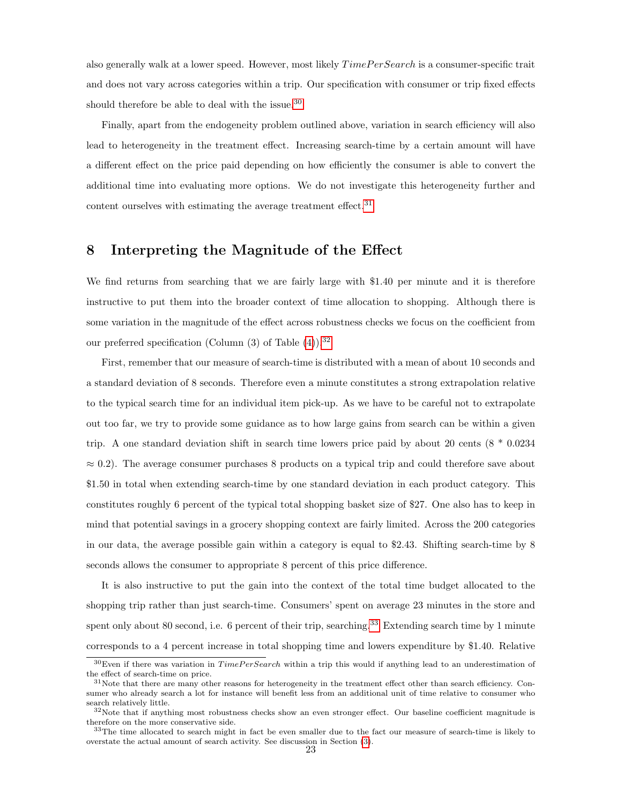also generally walk at a lower speed. However, most likely  $TimePer Search$  is a consumer-specific trait and does not vary across categories within a trip. Our specification with consumer or trip fixed effects should therefore be able to deal with the issue.<sup>[30](#page-0-0)</sup>

Finally, apart from the endogeneity problem outlined above, variation in search efficiency will also lead to heterogeneity in the treatment effect. Increasing search-time by a certain amount will have a different effect on the price paid depending on how efficiently the consumer is able to convert the additional time into evaluating more options. We do not investigate this heterogeneity further and content ourselves with estimating the average treatment effect. $31$ 

## 8 Interpreting the Magnitude of the Effect

We find returns from searching that we are fairly large with \$1.40 per minute and it is therefore instructive to put them into the broader context of time allocation to shopping. Although there is some variation in the magnitude of the effect across robustness checks we focus on the coefficient from our preferred specification (Column  $(3)$  of Table  $(4)$ ).<sup>[32](#page-0-0)</sup>

First, remember that our measure of search-time is distributed with a mean of about 10 seconds and a standard deviation of 8 seconds. Therefore even a minute constitutes a strong extrapolation relative to the typical search time for an individual item pick-up. As we have to be careful not to extrapolate out too far, we try to provide some guidance as to how large gains from search can be within a given trip. A one standard deviation shift in search time lowers price paid by about 20 cents  $(8 * 0.0234$  $\approx$  0.2). The average consumer purchases 8 products on a typical trip and could therefore save about \$1.50 in total when extending search-time by one standard deviation in each product category. This constitutes roughly 6 percent of the typical total shopping basket size of \$27. One also has to keep in mind that potential savings in a grocery shopping context are fairly limited. Across the 200 categories in our data, the average possible gain within a category is equal to \$2.43. Shifting search-time by 8 seconds allows the consumer to appropriate 8 percent of this price difference.

It is also instructive to put the gain into the context of the total time budget allocated to the shopping trip rather than just search-time. Consumers' spent on average 23 minutes in the store and spent only about 80 second, i.e. 6 percent of their trip, searching.<sup>[33](#page-0-0)</sup> Extending search time by 1 minute corresponds to a 4 percent increase in total shopping time and lowers expenditure by \$1.40. Relative

 $30$ Even if there was variation in  $TimePer Search$  within a trip this would if anything lead to an underestimation of the effect of search-time on price.

 $31$ Note that there are many other reasons for heterogeneity in the treatment effect other than search efficiency. Consumer who already search a lot for instance will benefit less from an additional unit of time relative to consumer who search relatively little.

 $32\text{Note that if anything most robustness checks show an even stronger effect. Our baseline coefficient magnitude is }$ therefore on the more conservative side.

<sup>&</sup>lt;sup>33</sup>The time allocated to search might in fact be even smaller due to the fact our measure of search-time is likely to overstate the actual amount of search activity. See discussion in Section [\(3\)](#page-4-0).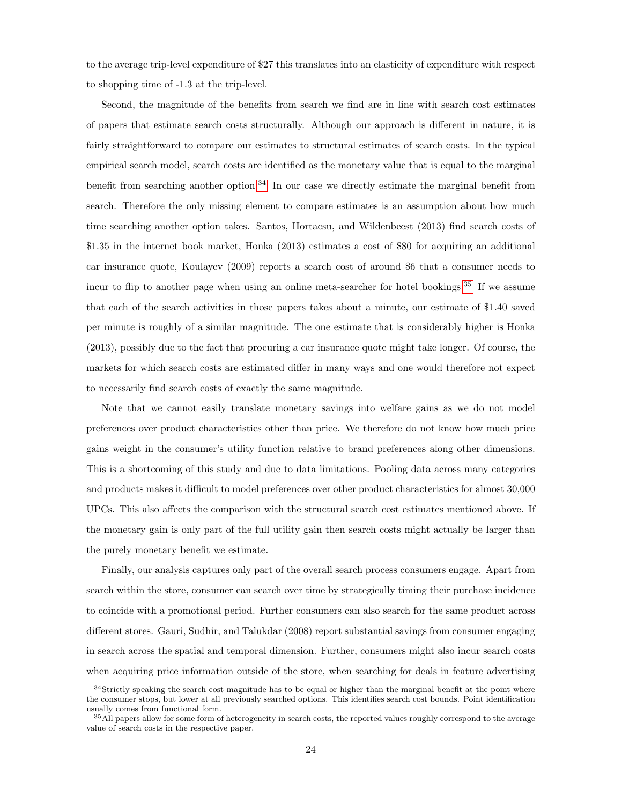to the average trip-level expenditure of \$27 this translates into an elasticity of expenditure with respect to shopping time of -1.3 at the trip-level.

Second, the magnitude of the benefits from search we find are in line with search cost estimates of papers that estimate search costs structurally. Although our approach is different in nature, it is fairly straightforward to compare our estimates to structural estimates of search costs. In the typical empirical search model, search costs are identified as the monetary value that is equal to the marginal benefit from searching another option.<sup>[34](#page-0-0)</sup> In our case we directly estimate the marginal benefit from search. Therefore the only missing element to compare estimates is an assumption about how much time searching another option takes. Santos, Hortacsu, and Wildenbeest (2013) find search costs of \$1.35 in the internet book market, Honka (2013) estimates a cost of \$80 for acquiring an additional car insurance quote, Koulayev (2009) reports a search cost of around \$6 that a consumer needs to incur to flip to another page when using an online meta-searcher for hotel bookings.<sup>[35](#page-0-0)</sup> If we assume that each of the search activities in those papers takes about a minute, our estimate of \$1.40 saved per minute is roughly of a similar magnitude. The one estimate that is considerably higher is Honka (2013), possibly due to the fact that procuring a car insurance quote might take longer. Of course, the markets for which search costs are estimated differ in many ways and one would therefore not expect to necessarily find search costs of exactly the same magnitude.

Note that we cannot easily translate monetary savings into welfare gains as we do not model preferences over product characteristics other than price. We therefore do not know how much price gains weight in the consumer's utility function relative to brand preferences along other dimensions. This is a shortcoming of this study and due to data limitations. Pooling data across many categories and products makes it difficult to model preferences over other product characteristics for almost 30,000 UPCs. This also affects the comparison with the structural search cost estimates mentioned above. If the monetary gain is only part of the full utility gain then search costs might actually be larger than the purely monetary benefit we estimate.

Finally, our analysis captures only part of the overall search process consumers engage. Apart from search within the store, consumer can search over time by strategically timing their purchase incidence to coincide with a promotional period. Further consumers can also search for the same product across different stores. Gauri, Sudhir, and Talukdar (2008) report substantial savings from consumer engaging in search across the spatial and temporal dimension. Further, consumers might also incur search costs when acquiring price information outside of the store, when searching for deals in feature advertising

 $34$ Strictly speaking the search cost magnitude has to be equal or higher than the marginal benefit at the point where the consumer stops, but lower at all previously searched options. This identifies search cost bounds. Point identification usually comes from functional form.

<sup>&</sup>lt;sup>35</sup>All papers allow for some form of heterogeneity in search costs, the reported values roughly correspond to the average value of search costs in the respective paper.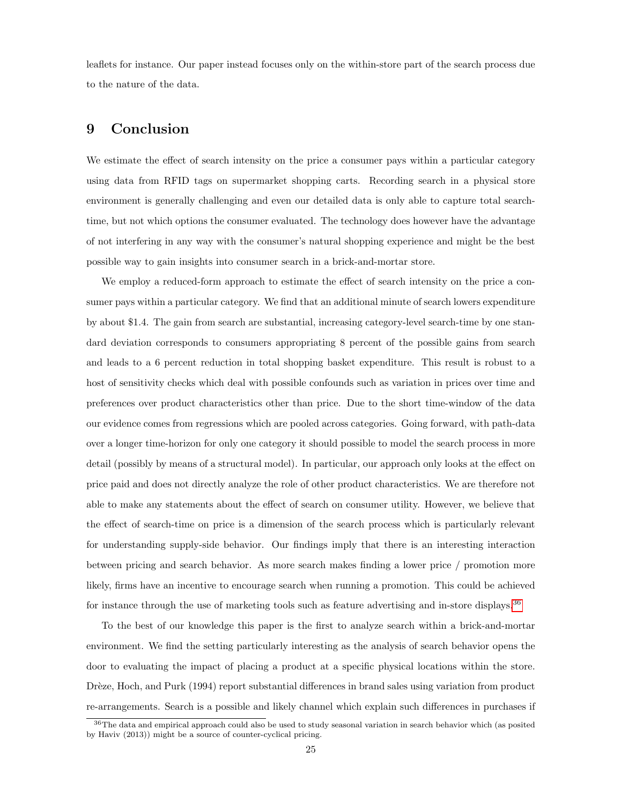leaflets for instance. Our paper instead focuses only on the within-store part of the search process due to the nature of the data.

## 9 Conclusion

We estimate the effect of search intensity on the price a consumer pays within a particular category using data from RFID tags on supermarket shopping carts. Recording search in a physical store environment is generally challenging and even our detailed data is only able to capture total searchtime, but not which options the consumer evaluated. The technology does however have the advantage of not interfering in any way with the consumer's natural shopping experience and might be the best possible way to gain insights into consumer search in a brick-and-mortar store.

We employ a reduced-form approach to estimate the effect of search intensity on the price a consumer pays within a particular category. We find that an additional minute of search lowers expenditure by about \$1.4. The gain from search are substantial, increasing category-level search-time by one standard deviation corresponds to consumers appropriating 8 percent of the possible gains from search and leads to a 6 percent reduction in total shopping basket expenditure. This result is robust to a host of sensitivity checks which deal with possible confounds such as variation in prices over time and preferences over product characteristics other than price. Due to the short time-window of the data our evidence comes from regressions which are pooled across categories. Going forward, with path-data over a longer time-horizon for only one category it should possible to model the search process in more detail (possibly by means of a structural model). In particular, our approach only looks at the effect on price paid and does not directly analyze the role of other product characteristics. We are therefore not able to make any statements about the effect of search on consumer utility. However, we believe that the effect of search-time on price is a dimension of the search process which is particularly relevant for understanding supply-side behavior. Our findings imply that there is an interesting interaction between pricing and search behavior. As more search makes finding a lower price / promotion more likely, firms have an incentive to encourage search when running a promotion. This could be achieved for instance through the use of marketing tools such as feature advertising and in-store displays.<sup>[36](#page-0-0)</sup>

To the best of our knowledge this paper is the first to analyze search within a brick-and-mortar environment. We find the setting particularly interesting as the analysis of search behavior opens the door to evaluating the impact of placing a product at a specific physical locations within the store. Drèze, Hoch, and Purk (1994) report substantial differences in brand sales using variation from product re-arrangements. Search is a possible and likely channel which explain such differences in purchases if

<sup>36</sup>The data and empirical approach could also be used to study seasonal variation in search behavior which (as posited by Haviv (2013)) might be a source of counter-cyclical pricing.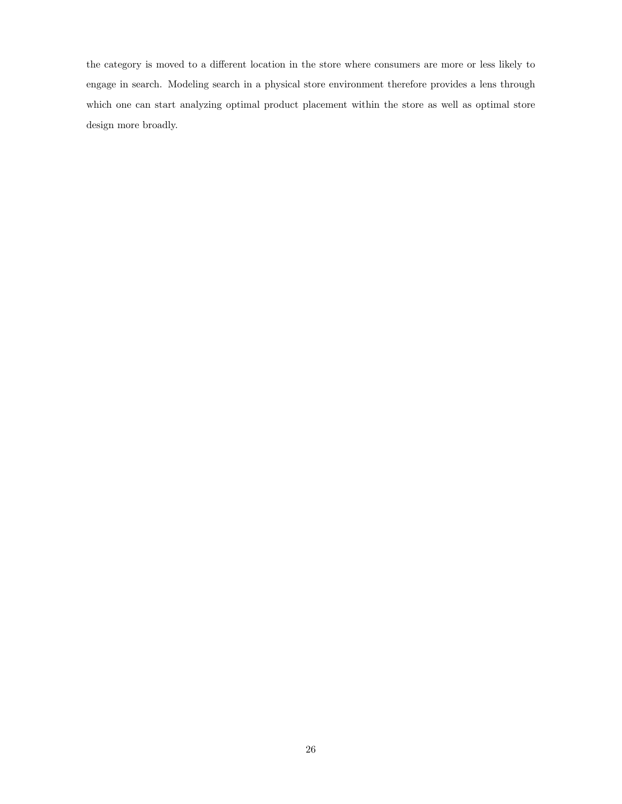the category is moved to a different location in the store where consumers are more or less likely to engage in search. Modeling search in a physical store environment therefore provides a lens through which one can start analyzing optimal product placement within the store as well as optimal store design more broadly.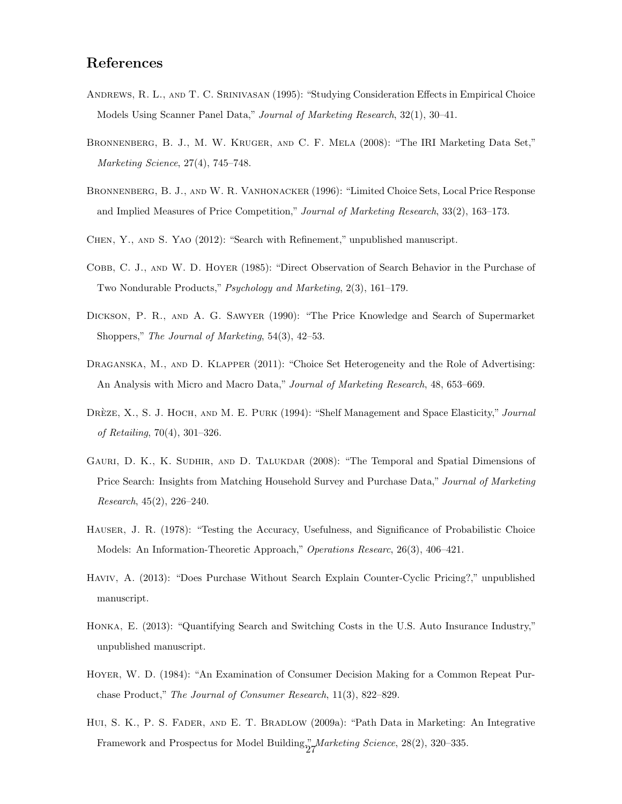## References

- Andrews, R. L., and T. C. Srinivasan (1995): "Studying Consideration Effects in Empirical Choice Models Using Scanner Panel Data," Journal of Marketing Research, 32(1), 30–41.
- Bronnenberg, B. J., M. W. Kruger, and C. F. Mela (2008): "The IRI Marketing Data Set," Marketing Science, 27(4), 745–748.
- BRONNENBERG, B. J., AND W. R. VANHONACKER (1996): "Limited Choice Sets, Local Price Response and Implied Measures of Price Competition," Journal of Marketing Research, 33(2), 163–173.
- Chen, Y., and S. Yao (2012): "Search with Refinement," unpublished manuscript.
- Cobb, C. J., and W. D. Hoyer (1985): "Direct Observation of Search Behavior in the Purchase of Two Nondurable Products," Psychology and Marketing, 2(3), 161–179.
- Dickson, P. R., and A. G. Sawyer (1990): "The Price Knowledge and Search of Supermarket Shoppers," The Journal of Marketing, 54(3), 42–53.
- DRAGANSKA, M., AND D. KLAPPER (2011): "Choice Set Heterogeneity and the Role of Advertising: An Analysis with Micro and Macro Data," Journal of Marketing Research, 48, 653–669.
- DRÈZE, X., S. J. HOCH, AND M. E. PURK (1994): "Shelf Management and Space Elasticity," Journal of Retailing, 70(4), 301–326.
- Gauri, D. K., K. Sudhir, and D. Talukdar (2008): "The Temporal and Spatial Dimensions of Price Search: Insights from Matching Household Survey and Purchase Data," Journal of Marketing  $Research, 45(2), 226-240.$
- Hauser, J. R. (1978): "Testing the Accuracy, Usefulness, and Significance of Probabilistic Choice Models: An Information-Theoretic Approach," Operations Researc, 26(3), 406–421.
- Haviv, A. (2013): "Does Purchase Without Search Explain Counter-Cyclic Pricing?," unpublished manuscript.
- Honka, E. (2013): "Quantifying Search and Switching Costs in the U.S. Auto Insurance Industry," unpublished manuscript.
- Hoyer, W. D. (1984): "An Examination of Consumer Decision Making for a Common Repeat Purchase Product," The Journal of Consumer Research, 11(3), 822–829.
- Hui, S. K., P. S. Fader, and E. T. Bradlow (2009a): "Path Data in Marketing: An Integrative Framework and Prospectus for Model Building," Marketing Science, 28(2), 320–335.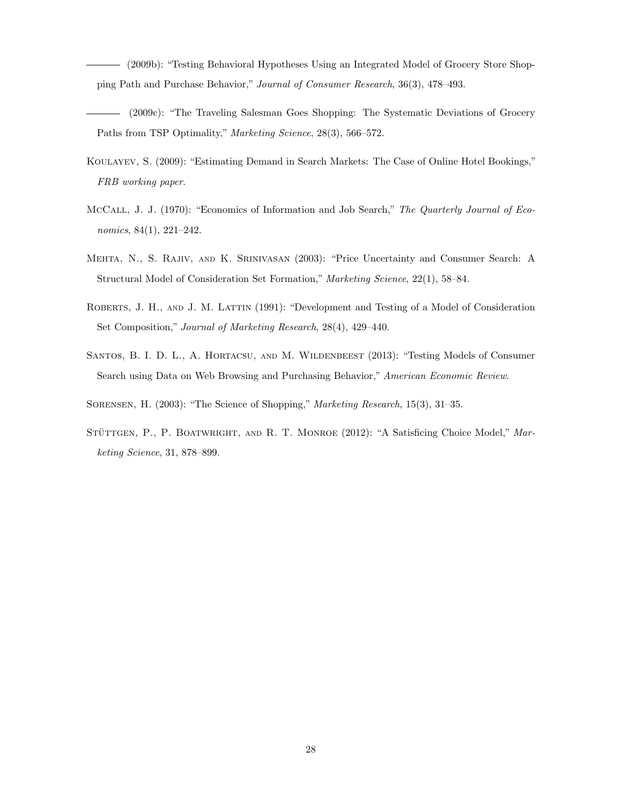(2009b): "Testing Behavioral Hypotheses Using an Integrated Model of Grocery Store Shopping Path and Purchase Behavior," Journal of Consumer Research, 36(3), 478–493.

- (2009c): "The Traveling Salesman Goes Shopping: The Systematic Deviations of Grocery Paths from TSP Optimality," Marketing Science, 28(3), 566–572.
- Koulayev, S. (2009): "Estimating Demand in Search Markets: The Case of Online Hotel Bookings," FRB working paper.
- McCall, J. J. (1970): "Economics of Information and Job Search," The Quarterly Journal of Economics, 84(1), 221–242.
- Mehta, N., S. Rajiv, and K. Srinivasan (2003): "Price Uncertainty and Consumer Search: A Structural Model of Consideration Set Formation," Marketing Science, 22(1), 58–84.
- Roberts, J. H., and J. M. Lattin (1991): "Development and Testing of a Model of Consideration Set Composition," Journal of Marketing Research, 28(4), 429–440.
- SANTOS, B. I. D. L., A. HORTACSU, AND M. WILDENBEEST (2013): "Testing Models of Consumer Search using Data on Web Browsing and Purchasing Behavior," American Economic Review.
- Sorensen, H. (2003): "The Science of Shopping," Marketing Research, 15(3), 31–35.
- STÜTTGEN, P., P. BOATWRIGHT, AND R. T. MONROE (2012): "A Satisficing Choice Model," Marketing Science, 31, 878–899.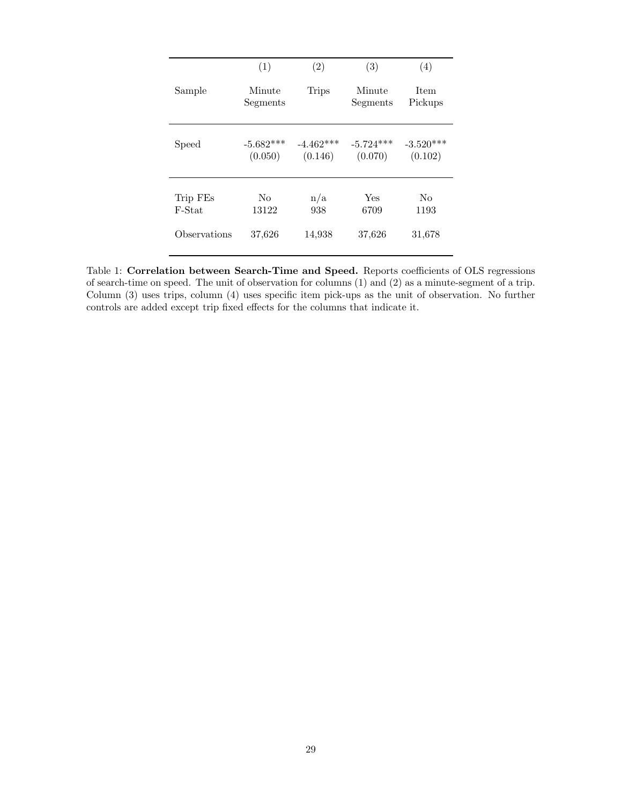|              | (1)                    | (2)                    | (3)                    | (4)                    |
|--------------|------------------------|------------------------|------------------------|------------------------|
| Sample       | Minute<br>Segments     | <b>Trips</b>           | Minute<br>Segments     | <b>Item</b><br>Pickups |
| Speed        | $-5.682***$<br>(0.050) | $-4.462***$<br>(0.146) | $-5.724***$<br>(0.070) | $-3.520***$<br>(0.102) |
| Trip FEs     | No                     | n/a                    | Yes                    | No                     |
| F-Stat       | 13122                  | 938                    | 6709                   | 1193                   |
| Observations | 37,626                 | 14,938                 | 37,626                 | 31,678                 |

<span id="page-28-0"></span>Table 1: Correlation between Search-Time and Speed. Reports coefficients of OLS regressions of search-time on speed. The unit of observation for columns (1) and (2) as a minute-segment of a trip. Column (3) uses trips, column (4) uses specific item pick-ups as the unit of observation. No further controls are added except trip fixed effects for the columns that indicate it.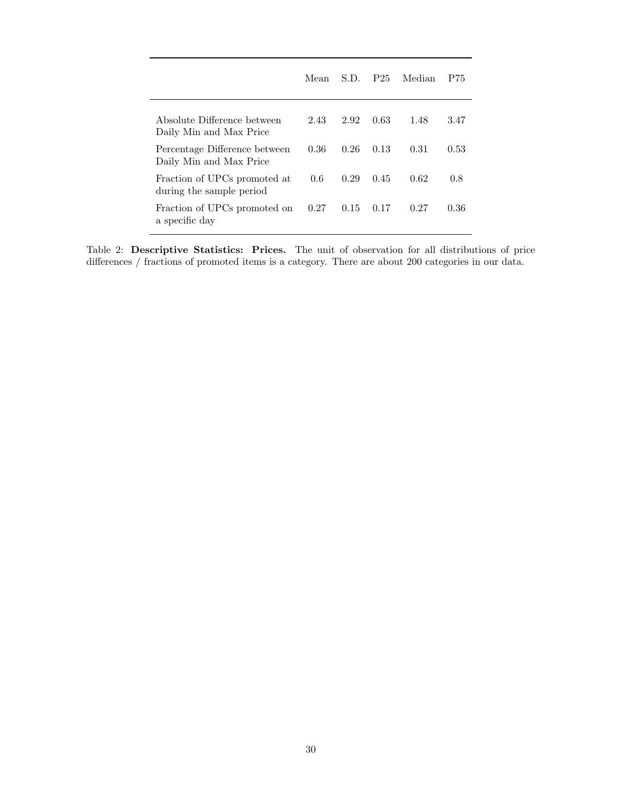|                                                          | Mean | S.D. | P <sub>25</sub> | Median | P75  |
|----------------------------------------------------------|------|------|-----------------|--------|------|
| Absolute Difference between<br>Daily Min and Max Price   | 2.43 | 2.92 | 0.63            | 1.48   | 3.47 |
| Percentage Difference between<br>Daily Min and Max Price | 0.36 | 0.26 | 0.13            | 0.31   | 0.53 |
| Fraction of UPCs promoted at<br>during the sample period | 0.6  | 0.29 | 0.45            | 0.62   | 0.8  |
| Fraction of UPCs promoted on<br>a specific day           | 0.27 | 0.15 | 0.17            | 0.27   | 0.36 |

<span id="page-29-0"></span>Table 2: Descriptive Statistics: Prices. The unit of observation for all distributions of price differences / fractions of promoted items is a category. There are about 200 categories in our data.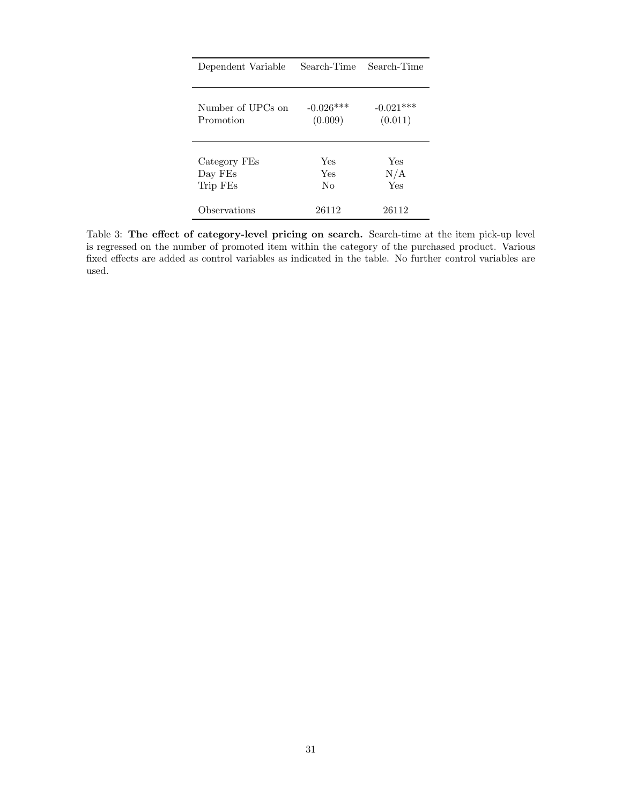| Dependent Variable | Search-Time | Search-Time |
|--------------------|-------------|-------------|
| Number of UPCs on  | $-0.026***$ | $-0.021***$ |
| Promotion          | (0.009)     | (0.011)     |
| Category FEs       | Yes         | Yes         |
| Day FEs            | Yes         | N/A         |
| Trip FEs           | $\rm No$    | Yes         |
| Observations       | 26112       | 26112       |

<span id="page-30-0"></span>Table 3: The effect of category-level pricing on search. Search-time at the item pick-up level is regressed on the number of promoted item within the category of the purchased product. Various fixed effects are added as control variables as indicated in the table. No further control variables are used.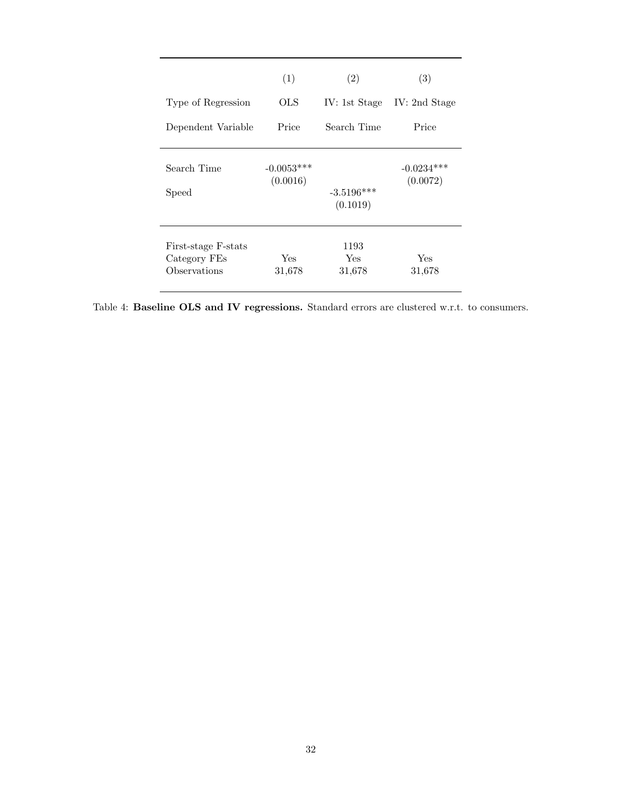|                                                     | (1)                      | (2)                      | (3)                      |
|-----------------------------------------------------|--------------------------|--------------------------|--------------------------|
| Type of Regression                                  | OLS                      | IV: 1st Stage            | IV: 2nd Stage            |
| Dependent Variable                                  | Price                    | Search Time              | Price                    |
| Search Time<br>Speed                                | $-0.0053***$<br>(0.0016) | $-3.5196***$<br>(0.1019) | $-0.0234***$<br>(0.0072) |
| First-stage F-stats<br>Category FEs<br>Observations | Yes<br>31,678            | 1193<br>Yes<br>31,678    | Yes<br>31,678            |

<span id="page-31-0"></span>Table 4: Baseline OLS and IV regressions. Standard errors are clustered w.r.t. to consumers.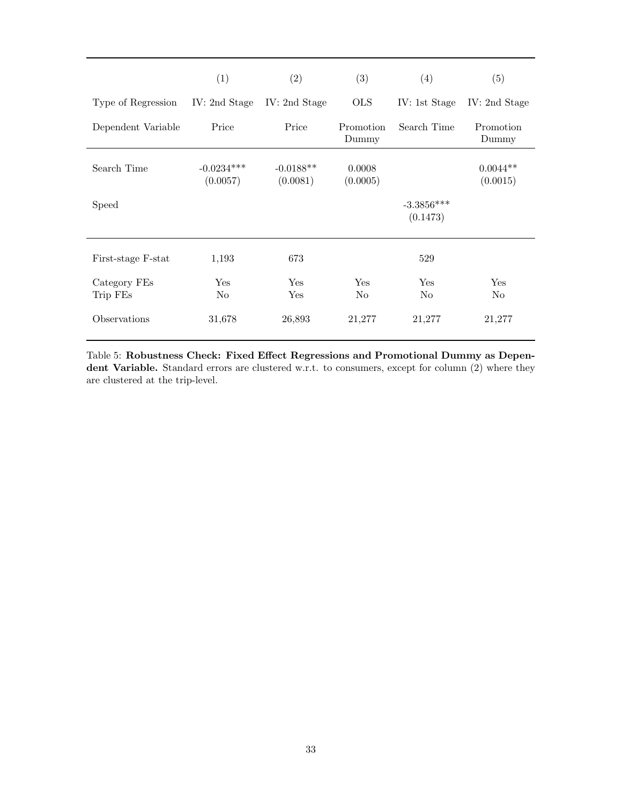|                          | (1)                      | (2)                     | (3)                | (4)                      | (5)                    |
|--------------------------|--------------------------|-------------------------|--------------------|--------------------------|------------------------|
| Type of Regression       | IV: 2nd Stage            | IV: 2nd Stage           | <b>OLS</b>         | IV: 1st Stage            | IV: 2nd Stage          |
| Dependent Variable       | Price                    | Price                   | Promotion<br>Dummy | Search Time              | Promotion<br>Dummy     |
| Search Time              | $-0.0234***$<br>(0.0057) | $-0.0188**$<br>(0.0081) | 0.0008<br>(0.0005) |                          | $0.0044**$<br>(0.0015) |
| Speed                    |                          |                         |                    | $-3.3856***$<br>(0.1473) |                        |
| First-stage F-stat       | 1,193                    | 673                     |                    | 529                      |                        |
| Category FEs<br>Trip FEs | Yes<br>N <sub>0</sub>    | Yes<br>Yes              | Yes<br>No          | Yes<br>No                | Yes<br>No              |
| Observations             | 31,678                   | 26,893                  | 21,277             | 21,277                   | 21,277                 |

<span id="page-32-0"></span>Table 5: Robustness Check: Fixed Effect Regressions and Promotional Dummy as Dependent Variable. Standard errors are clustered w.r.t. to consumers, except for column (2) where they are clustered at the trip-level.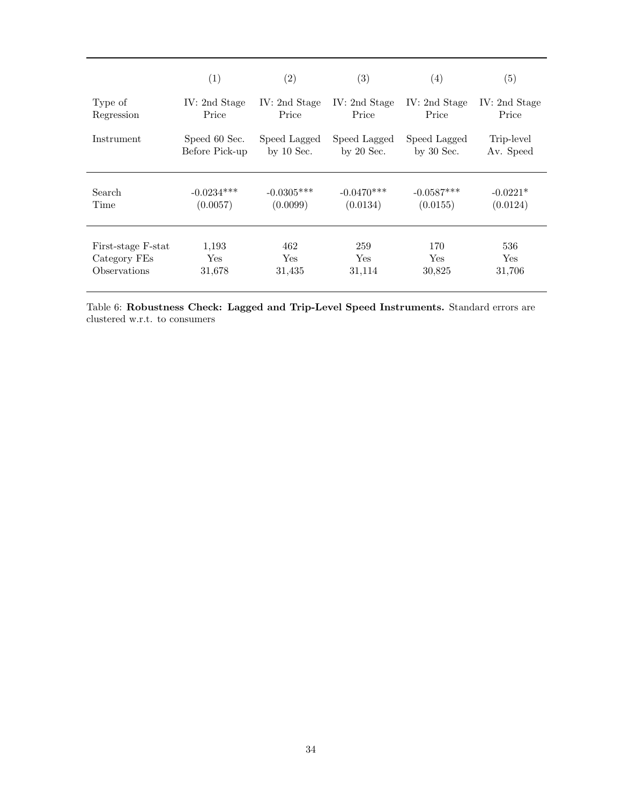|                    | (1)            | (2)           | (3)           | (4)           | $\left( 5\right)$ |
|--------------------|----------------|---------------|---------------|---------------|-------------------|
| Type of            | IV: 2nd Stage  | IV: 2nd Stage | IV: 2nd Stage | IV: 2nd Stage | IV: 2nd Stage     |
| Regression         | Price          | Price         | Price         | Price         | Price             |
| Instrument         | Speed 60 Sec.  | Speed Lagged  | Speed Lagged  | Speed Lagged  | Trip-level        |
|                    | Before Pick-up | by $10$ Sec.  | by $20$ Sec.  | by $30$ Sec.  | Av. Speed         |
| Search             | $-0.0234***$   | $-0.0305***$  | $-0.0470***$  | $-0.0587***$  | $-0.0221*$        |
| Time               | (0.0057)       | (0.0099)      | (0.0134)      | (0.0155)      | (0.0124)          |
| First-stage F-stat | 1,193          | 462           | 259           | 170           | 536               |
| Category FEs       | Yes            | Yes.          | <b>Yes</b>    | <b>Yes</b>    | Yes.              |
| Observations       | 31,678         | 31,435        | 31,114        | 30,825        | 31,706            |

<span id="page-33-0"></span>Table 6: Robustness Check: Lagged and Trip-Level Speed Instruments. Standard errors are clustered w.r.t. to consumers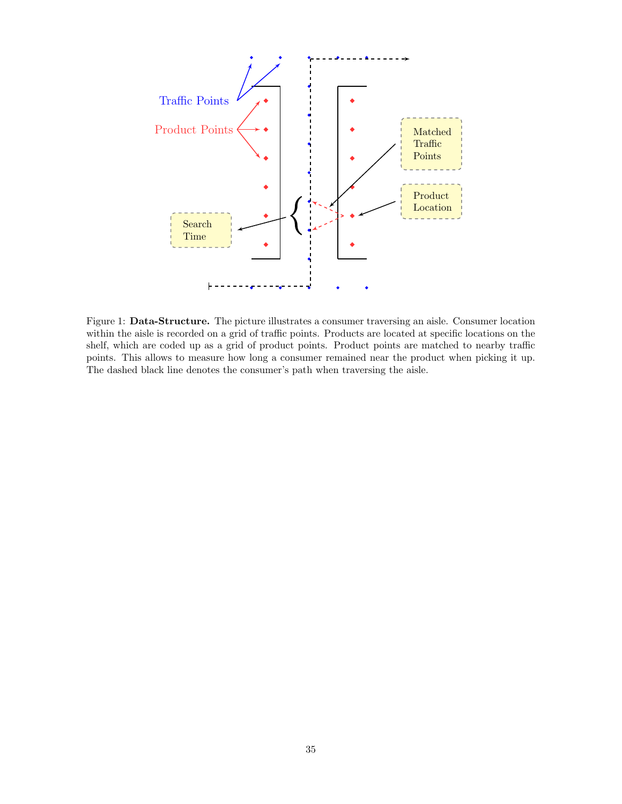

<span id="page-34-0"></span>Figure 1: Data-Structure. The picture illustrates a consumer traversing an aisle. Consumer location within the aisle is recorded on a grid of traffic points. Products are located at specific locations on the shelf, which are coded up as a grid of product points. Product points are matched to nearby traffic points. This allows to measure how long a consumer remained near the product when picking it up. The dashed black line denotes the consumer's path when traversing the aisle.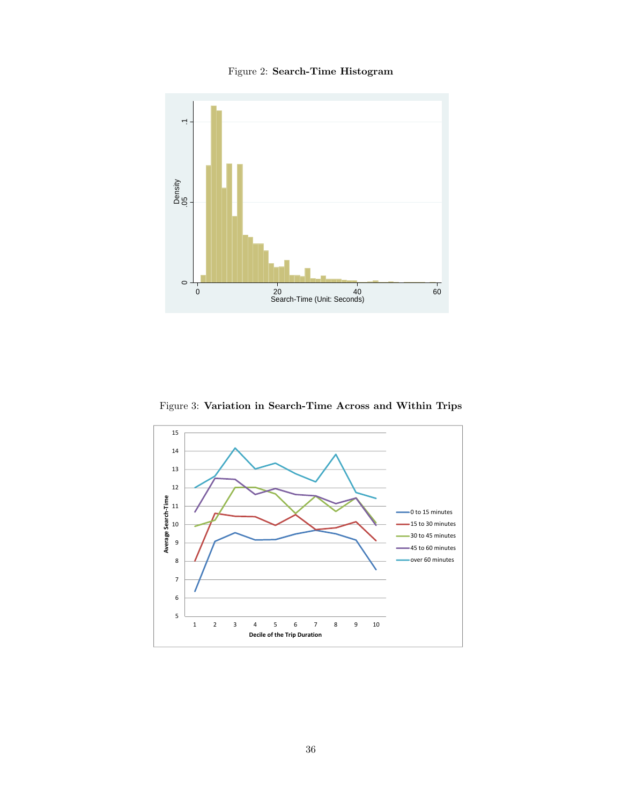## <span id="page-35-0"></span>Figure 2: Search-Time Histogram



<span id="page-35-1"></span>Figure 3: Variation in Search-Time Across and Within Trips

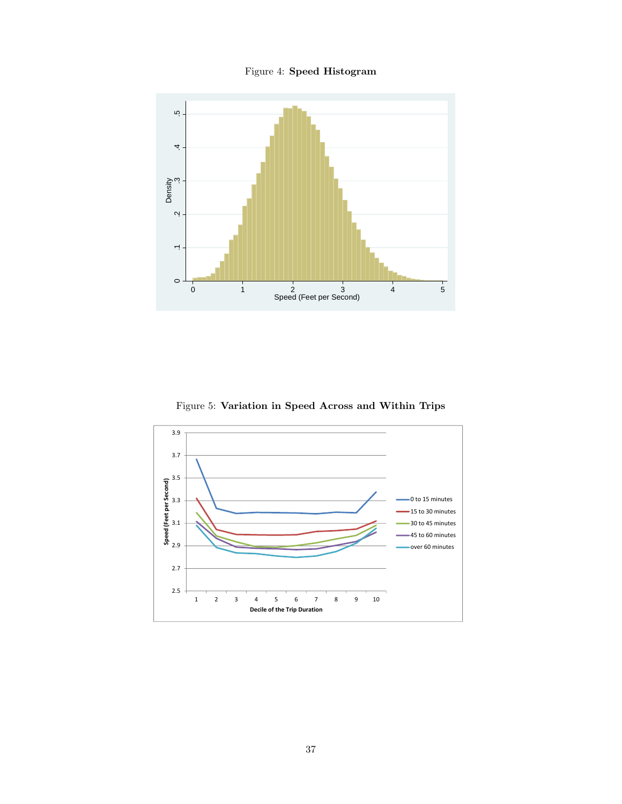<span id="page-36-0"></span>Figure 4: Speed Histogram



<span id="page-36-1"></span>Figure 5: Variation in Speed Across and Within Trips